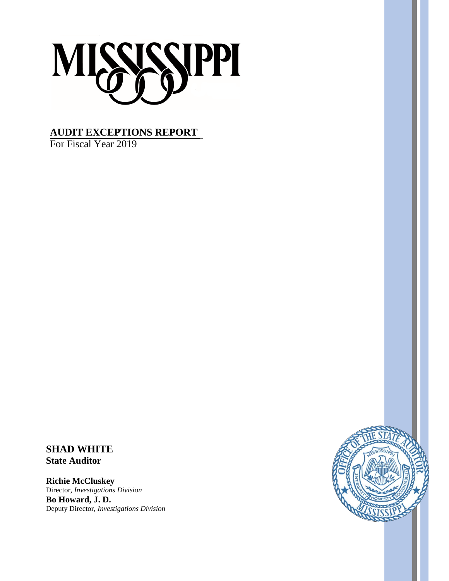

**AUDIT EXCEPTIONS REPORT**

For Fiscal Year 2019



**Richie McCluskey** Director, *Investigations Division* **Bo Howard, J. D.** Deputy Director, *Investigations Division*

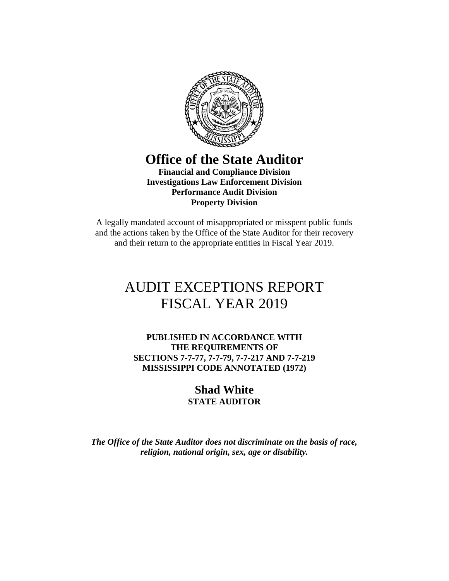

### **Office of the State Auditor Financial and Compliance Division Investigations Law Enforcement Division Performance Audit Division Property Division**

A legally mandated account of misappropriated or misspent public funds and the actions taken by the Office of the State Auditor for their recovery and their return to the appropriate entities in Fiscal Year 2019.

# AUDIT EXCEPTIONS REPORT FISCAL YEAR 2019

### **PUBLISHED IN ACCORDANCE WITH THE REQUIREMENTS OF SECTIONS 7-7-77, 7-7-79, 7-7-217 AND 7-7-219 MISSISSIPPI CODE ANNOTATED (1972)**

### **Shad White STATE AUDITOR**

*The Office of the State Auditor does not discriminate on the basis of race, religion, national origin, sex, age or disability.*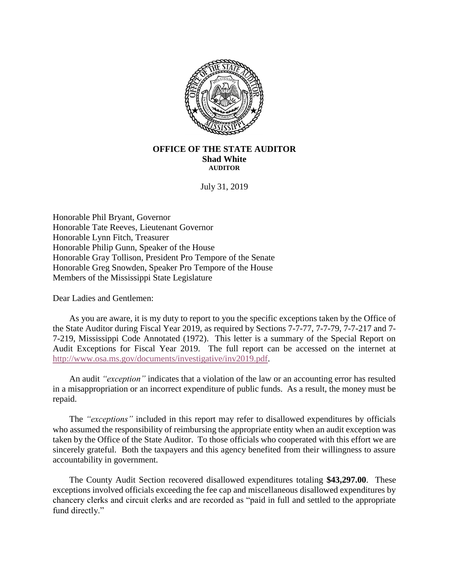

### **OFFICE OF THE STATE AUDITOR Shad White AUDITOR**

July 31, 2019

Honorable Phil Bryant, Governor Honorable Tate Reeves, Lieutenant Governor Honorable Lynn Fitch, Treasurer Honorable Philip Gunn, Speaker of the House Honorable Gray Tollison, President Pro Tempore of the Senate Honorable Greg Snowden, Speaker Pro Tempore of the House Members of the Mississippi State Legislature

Dear Ladies and Gentlemen:

As you are aware, it is my duty to report to you the specific exceptions taken by the Office of the State Auditor during Fiscal Year 2019, as required by Sections 7-7-77, 7-7-79, 7-7-217 and 7- 7-219, Mississippi Code Annotated (1972). This letter is a summary of the Special Report on Audit Exceptions for Fiscal Year 2019. The full report can be accessed on the internet at [http://www.osa.ms.gov/documents/investigative/inv2019.pdf.](http://www.osa.ms.gov/documents/investigative/inv2019.pdf)

An audit *"exception"* indicates that a violation of the law or an accounting error has resulted in a misappropriation or an incorrect expenditure of public funds. As a result, the money must be repaid.

The *"exceptions"* included in this report may refer to disallowed expenditures by officials who assumed the responsibility of reimbursing the appropriate entity when an audit exception was taken by the Office of the State Auditor. To those officials who cooperated with this effort we are sincerely grateful. Both the taxpayers and this agency benefited from their willingness to assure accountability in government.

The County Audit Section recovered disallowed expenditures totaling **\$43,297.00**. These exceptions involved officials exceeding the fee cap and miscellaneous disallowed expenditures by chancery clerks and circuit clerks and are recorded as "paid in full and settled to the appropriate fund directly."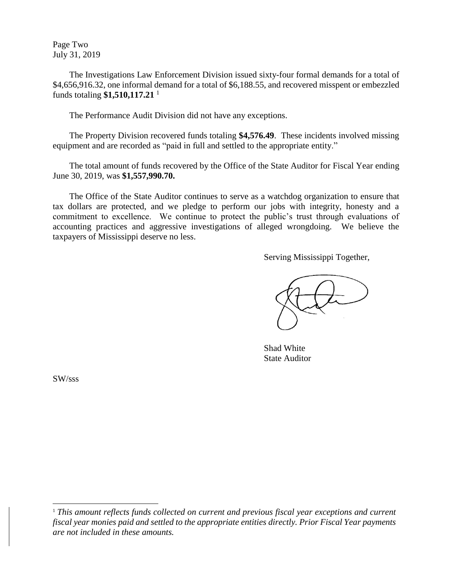Page Two July 31, 2019

The Investigations Law Enforcement Division issued sixty-four formal demands for a total of \$4,656,916.32, one informal demand for a total of \$6,188.55, and recovered misspent or embezzled funds totaling **\$1,510,117.21** <sup>1</sup>

The Performance Audit Division did not have any exceptions.

The Property Division recovered funds totaling **\$4,576.49**. These incidents involved missing equipment and are recorded as "paid in full and settled to the appropriate entity."

The total amount of funds recovered by the Office of the State Auditor for Fiscal Year ending June 30, 2019, was **\$1,557,990.70.**

The Office of the State Auditor continues to serve as a watchdog organization to ensure that tax dollars are protected, and we pledge to perform our jobs with integrity, honesty and a commitment to excellence. We continue to protect the public's trust through evaluations of accounting practices and aggressive investigations of alleged wrongdoing. We believe the taxpayers of Mississippi deserve no less.

Serving Mississippi Together,

Shad White State Auditor

SW/sss

 $\overline{a}$ 

<sup>1</sup> *This amount reflects funds collected on current and previous fiscal year exceptions and current fiscal year monies paid and settled to the appropriate entities directly. Prior Fiscal Year payments are not included in these amounts.*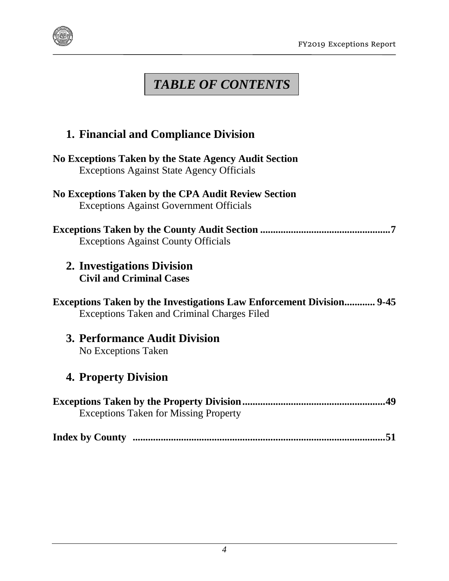

# *TABLE OF CONTENTS*

# **1. Financial and Compliance Division**

| No Exceptions Taken by the State Agency Audit Section<br><b>Exceptions Against State Agency Officials</b>                         |
|-----------------------------------------------------------------------------------------------------------------------------------|
| No Exceptions Taken by the CPA Audit Review Section<br><b>Exceptions Against Government Officials</b>                             |
| <b>Exceptions Against County Officials</b>                                                                                        |
| 2. Investigations Division<br><b>Civil and Criminal Cases</b>                                                                     |
| <b>Exceptions Taken by the Investigations Law Enforcement Division 9-45</b><br><b>Exceptions Taken and Criminal Charges Filed</b> |
| 3. Performance Audit Division<br>No Exceptions Taken                                                                              |
| 4. Property Division                                                                                                              |
| .49<br><b>Exceptions Taken for Missing Property</b>                                                                               |
| .51                                                                                                                               |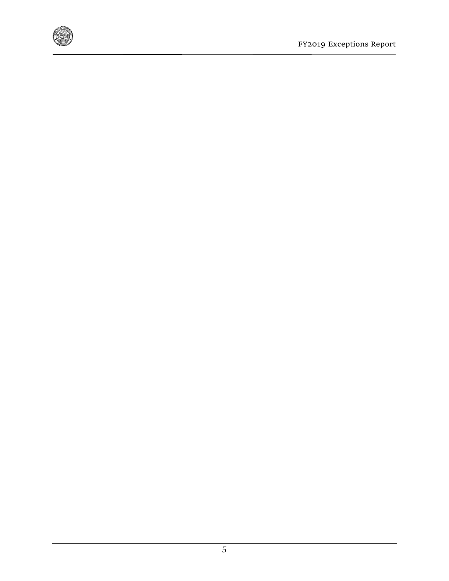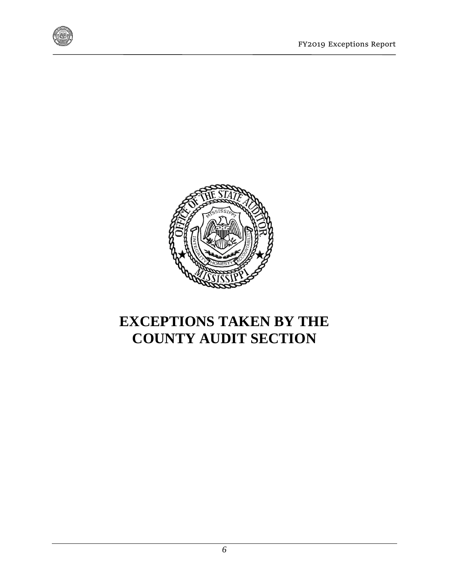





# **EXCEPTIONS TAKEN BY THE COUNTY AUDIT SECTION**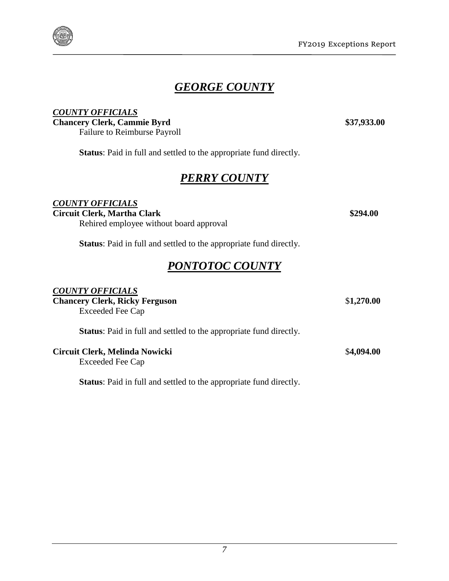*7*

## *GEORGE COUNTY*

### *COUNTY OFFICIALS*

**Chancery Clerk, Cammie Byrd \$37,933.00** Failure to Reimburse Payroll

**Status**: Paid in full and settled to the appropriate fund directly.

## *PERRY COUNTY*

## *COUNTY OFFICIALS*

**Circuit Clerk, Martha Clark 6294.00** Rehired employee without board approval

**Status**: Paid in full and settled to the appropriate fund directly.

## *PONTOTOC COUNTY*

| <b>COUNTY OFFICIALS</b><br><b>Chancery Clerk, Ricky Ferguson</b><br><b>Exceeded Fee Cap</b> | \$1,270.00 |
|---------------------------------------------------------------------------------------------|------------|
| <b>Status:</b> Paid in full and settled to the appropriate fund directly.                   |            |
| Circuit Clerk, Melinda Nowicki<br>Exceeded Fee Cap                                          | \$4,094.00 |
| <b>Status:</b> Paid in full and settled to the appropriate fund directly.                   |            |

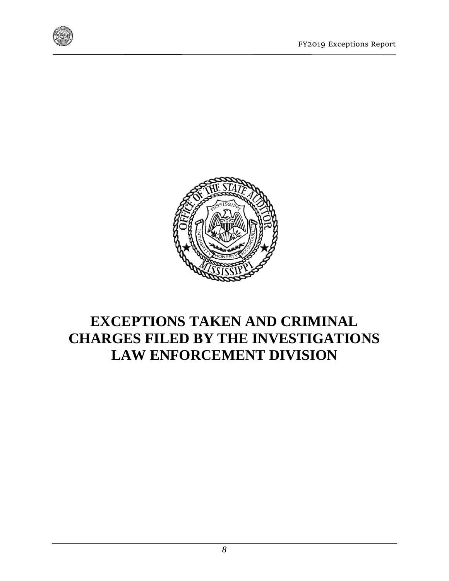



# **EXCEPTIONS TAKEN AND CRIMINAL CHARGES FILED BY THE INVESTIGATIONS LAW ENFORCEMENT DIVISION**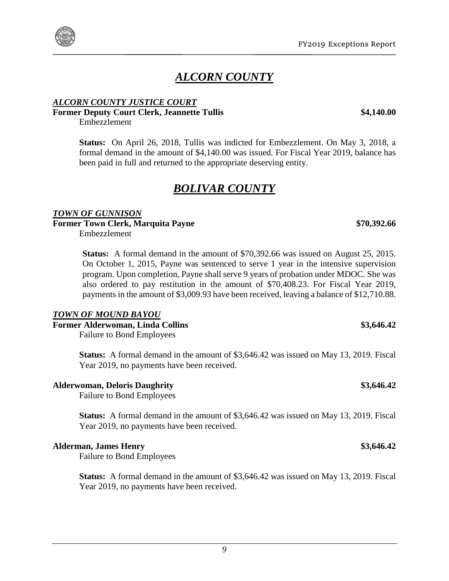*9*

## *ALCORN COUNTY*

### *ALCORN COUNTY JUSTICE COURT*

### **Former Deputy Court Clerk, Jeannette Tullis \$4,140.00**

Embezzlement

**Status:** On April 26, 2018, Tullis was indicted for Embezzlement. On May 3, 2018, a formal demand in the amount of \$4,140.00 was issued. For Fiscal Year 2019, balance has been paid in full and returned to the appropriate deserving entity.

## *BOLIVAR COUNTY*

### *TOWN OF GUNNISON*

### **Former Town Clerk, Marquita Payne \$70,392.66**

Embezzlement

**Status:** A formal demand in the amount of \$70,392.66 was issued on August 25, 2015. On October 1, 2015, Payne was sentenced to serve 1 year in the intensive supervision program. Upon completion, Payne shall serve 9 years of probation under MDOC. She was also ordered to pay restitution in the amount of \$70,408.23. For Fiscal Year 2019, payments in the amount of \$3,009.93 have been received, leaving a balance of \$12,710.88.

### *TOWN OF MOUND BAYOU*

## **Former Alderwoman, Linda Collins \$3,646.42**

Failure to Bond Employees

**Status:** A formal demand in the amount of \$3,646.42 was issued on May 13, 2019. Fiscal Year 2019, no payments have been received.

### **Alderwoman, Deloris Daughrity \$3,646.42**

Failure to Bond Employees

**Status:** A formal demand in the amount of \$3,646.42 was issued on May 13, 2019. Fiscal Year 2019, no payments have been received.

### **Alderman, James Henry \$3,646.42**

Failure to Bond Employees

**Status:** A formal demand in the amount of \$3,646.42 was issued on May 13, 2019. Fiscal Year 2019, no payments have been received.

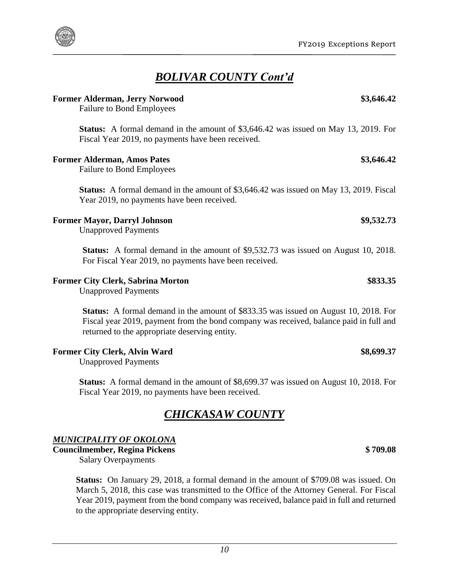## *BOLIVAR COUNTY Cont'd*

### **Former Alderman, Jerry Norwood \$3,646.42**

Failure to Bond Employees

**Status:** A formal demand in the amount of \$3,646.42 was issued on May 13, 2019. For Fiscal Year 2019, no payments have been received.

### **Former Alderman, Amos Pates \$3,646.42**

Failure to Bond Employees

**Status:** A formal demand in the amount of \$3,646.42 was issued on May 13, 2019. Fiscal Year 2019, no payments have been received.

### **Former Mayor, Darryl Johnson \$9,532.73**

Unapproved Payments

**Status:** A formal demand in the amount of \$9,532.73 was issued on August 10, 2018. For Fiscal Year 2019, no payments have been received.

### **Former City Clerk, Sabrina Morton \$833.35**

Unapproved Payments

**Status:** A formal demand in the amount of \$833.35 was issued on August 10, 2018. For Fiscal year 2019, payment from the bond company was received, balance paid in full and returned to the appropriate deserving entity.

### **Former City Clerk, Alvin Ward \$8,699.37**

Unapproved Payments

**Status:** A formal demand in the amount of \$8,699.37 was issued on August 10, 2018. For Fiscal Year 2019, no payments have been received.

## *CHICKASAW COUNTY*

### *MUNICIPALITY OF OKOLONA*

**Councilmember, Regina Pickens \$ 709.08**

Salary Overpayments

**Status:** On January 29, 2018, a formal demand in the amount of \$709.08 was issued. On March 5, 2018, this case was transmitted to the Office of the Attorney General. For Fiscal Year 2019, payment from the bond company was received, balance paid in full and returned to the appropriate deserving entity.

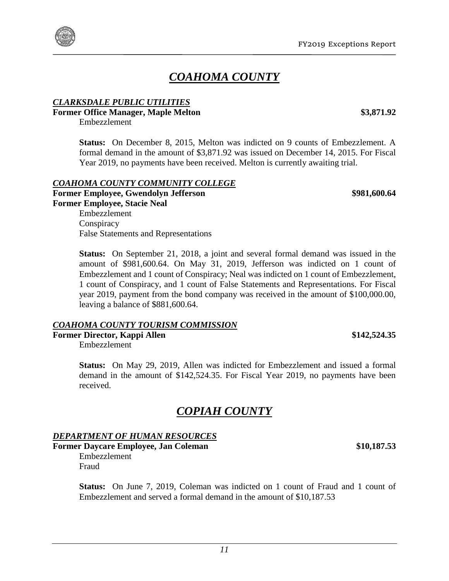## *COAHOMA COUNTY*

### *CLARKSDALE PUBLIC UTILITIES*

**Former Office Manager, Maple Melton \$3,871.92** 

Embezzlement

**Status:** On December 8, 2015, Melton was indicted on 9 counts of Embezzlement. A formal demand in the amount of \$3,871.92 was issued on December 14, 2015. For Fiscal Year 2019, no payments have been received. Melton is currently awaiting trial.

### *COAHOMA COUNTY COMMUNITY COLLEGE*

**Former Employee, Stacie Neal** Embezzlement **Conspiracy** False Statements and Representations

> **Status:** On September 21, 2018, a joint and several formal demand was issued in the amount of \$981,600.64. On May 31, 2019, Jefferson was indicted on 1 count of Embezzlement and 1 count of Conspiracy; Neal was indicted on 1 count of Embezzlement, 1 count of Conspiracy, and 1 count of False Statements and Representations. For Fiscal year 2019, payment from the bond company was received in the amount of \$100,000.00, leaving a balance of \$881,600.64.

### *COAHOMA COUNTY TOURISM COMMISSION*

**Former Director, Kappi Allen** \$142,524.35 Embezzlement

**Status:** On May 29, 2019, Allen was indicted for Embezzlement and issued a formal demand in the amount of \$142,524.35. For Fiscal Year 2019, no payments have been received.

## *COPIAH COUNTY*

### *DEPARTMENT OF HUMAN RESOURCES*

**Former Daycare Employee, Jan Coleman \$10,187.53**

Embezzlement Fraud

**Status:** On June 7, 2019, Coleman was indicted on 1 count of Fraud and 1 count of Embezzlement and served a formal demand in the amount of \$10,187.53



Former Employee, Gwendolyn Jefferson **\$981,600.64**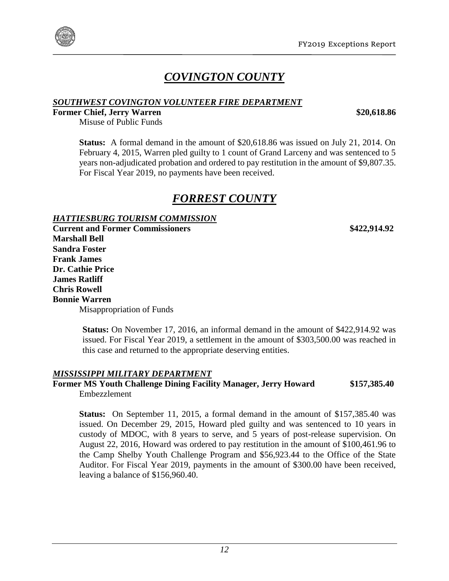

## *COVINGTON COUNTY*

### *SOUTHWEST COVINGTON VOLUNTEER FIRE DEPARTMENT*

### **Former Chief, Jerry Warren \$20,618.86**

Misuse of Public Funds

**Status:** A formal demand in the amount of \$20,618.86 was issued on July 21, 2014. On February 4, 2015, Warren pled guilty to 1 count of Grand Larceny and was sentenced to 5 years non-adjudicated probation and ordered to pay restitution in the amount of \$9,807.35. For Fiscal Year 2019, no payments have been received.

## *FORREST COUNTY*

### *HATTIESBURG TOURISM COMMISSION*

**Current and Former Commissioners \$422,914.92 Marshall Bell Sandra Foster Frank James Dr. Cathie Price James Ratliff Chris Rowell Bonnie Warren** Misappropriation of Funds

**Status:** On November 17, 2016, an informal demand in the amount of \$422,914.92 was issued. For Fiscal Year 2019, a settlement in the amount of \$303,500.00 was reached in this case and returned to the appropriate deserving entities.

### *MISSISSIPPI MILITARY DEPARTMENT*

**Former MS Youth Challenge Dining Facility Manager, Jerry Howard \$157,385.40** Embezzlement

**Status:** On September 11, 2015, a formal demand in the amount of \$157,385.40 was issued. On December 29, 2015, Howard pled guilty and was sentenced to 10 years in custody of MDOC, with 8 years to serve, and 5 years of post-release supervision. On August 22, 2016, Howard was ordered to pay restitution in the amount of \$100,461.96 to the Camp Shelby Youth Challenge Program and \$56,923.44 to the Office of the State Auditor. For Fiscal Year 2019, payments in the amount of \$300.00 have been received, leaving a balance of \$156,960.40.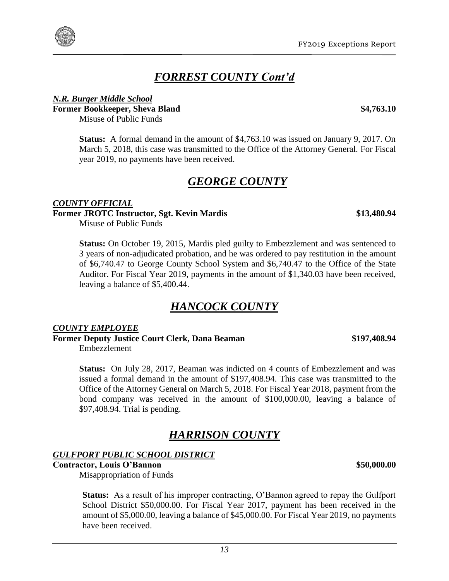## *FORREST COUNTY Cont'd*

### *N.R. Burger Middle School*

### **Former Bookkeeper, Sheva Bland \$4,763.10**

Misuse of Public Funds

**Status:** A formal demand in the amount of \$4,763.10 was issued on January 9, 2017. On March 5, 2018, this case was transmitted to the Office of the Attorney General. For Fiscal year 2019, no payments have been received.

## *GEORGE COUNTY*

### *COUNTY OFFICIAL*

**Former JROTC Instructor, Sgt. Kevin Mardis \$13,480.94** Misuse of Public Funds

**Status:** On October 19, 2015, Mardis pled guilty to Embezzlement and was sentenced to 3 years of non-adjudicated probation, and he was ordered to pay restitution in the amount of \$6,740.47 to George County School System and \$6,740.47 to the Office of the State Auditor. For Fiscal Year 2019, payments in the amount of \$1,340.03 have been received, leaving a balance of \$5,400.44.

## *HANCOCK COUNTY*

### *COUNTY EMPLOYEE*

**Former Deputy Justice Court Clerk, Dana Beaman \$197,408.94**

Embezzlement

**Status:** On July 28, 2017, Beaman was indicted on 4 counts of Embezzlement and was issued a formal demand in the amount of \$197,408.94. This case was transmitted to the Office of the Attorney General on March 5, 2018. For Fiscal Year 2018, payment from the bond company was received in the amount of \$100,000.00, leaving a balance of \$97,408.94. Trial is pending.

## *HARRISON COUNTY*

### *GULFPORT PUBLIC SCHOOL DISTRICT*

### **Contractor, Louis O'Bannon \$50,000.00**

Misappropriation of Funds

**Status:** As a result of his improper contracting, O'Bannon agreed to repay the Gulfport School District \$50,000.00. For Fiscal Year 2017, payment has been received in the amount of \$5,000.00, leaving a balance of \$45,000.00. For Fiscal Year 2019, no payments have been received.

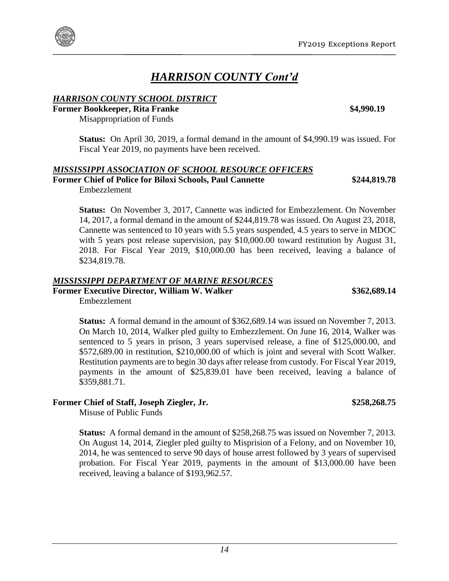# **Former Chief of Staff, Joseph Ziegler, Jr. \$258,268.75**

Misuse of Public Funds

**Status:** A formal demand in the amount of \$258,268.75 was issued on November 7, 2013. On August 14, 2014, Ziegler pled guilty to Misprision of a Felony, and on November 10, 2014, he was sentenced to serve 90 days of house arrest followed by 3 years of supervised probation. For Fiscal Year 2019, payments in the amount of \$13,000.00 have been received, leaving a balance of \$193,962.57.

**Status:** On November 3, 2017, Cannette was indicted for Embezzlement. On November 14, 2017, a formal demand in the amount of \$244,819.78 was issued. On August 23, 2018, Cannette was sentenced to 10 years with 5.5 years suspended, 4.5 years to serve in MDOC

with 5 years post release supervision, pay \$10,000.00 toward restitution by August 31, 2018. For Fiscal Year 2019, \$10,000.00 has been received, leaving a balance of \$234,819.78.

## *MISSISSIPPI DEPARTMENT OF MARINE RESOURCES*

**Former Executive Director, William W. Walker \$362,689.14** Embezzlement

**Status:** A formal demand in the amount of \$362,689.14 was issued on November 7, 2013. On March 10, 2014, Walker pled guilty to Embezzlement. On June 16, 2014, Walker was sentenced to 5 years in prison, 3 years supervised release, a fine of \$125,000.00, and \$572,689.00 in restitution, \$210,000.00 of which is joint and several with Scott Walker. Restitution payments are to begin 30 days after release from custody. For Fiscal Year 2019, payments in the amount of \$25,839.01 have been received, leaving a balance of \$359,881.71.

### *HARRISON COUNTY SCHOOL DISTRICT* **Former Bookkeeper, Rita Franke** \$4,990.19

*MISSISSIPPI ASSOCIATION OF SCHOOL RESOURCE OFFICERS*

Misappropriation of Funds

Embezzlement

**Status:** On April 30, 2019, a formal demand in the amount of \$4,990.19 was issued. For Fiscal Year 2019, no payments have been received.

# *HARRISON COUNTY Cont'd*

**Former Chief of Police for Biloxi Schools, Paul Cannette \$244,819.78**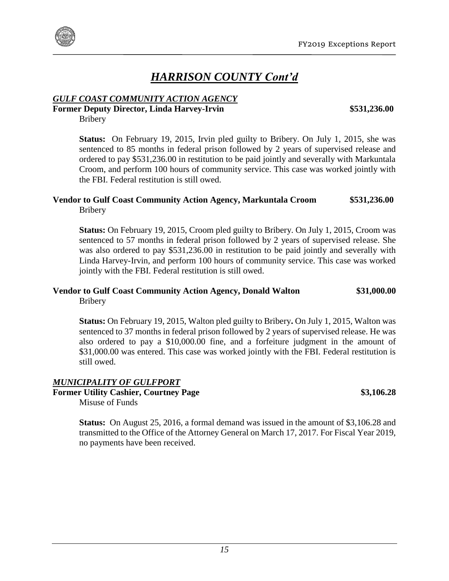

## *HARRISON COUNTY Cont'd*

### *GULF COAST COMMUNITY ACTION AGENCY*

### **Former Deputy Director, Linda Harvey-Irvin** \$531,236.00

Bribery

**Status:** On February 19, 2015, Irvin pled guilty to Bribery. On July 1, 2015, she was sentenced to 85 months in federal prison followed by 2 years of supervised release and ordered to pay \$531,236.00 in restitution to be paid jointly and severally with Markuntala Croom, and perform 100 hours of community service. This case was worked jointly with the FBI. Federal restitution is still owed.

### **Vendor to Gulf Coast Community Action Agency, Markuntala Croom \$531,236.00** Bribery

**Status:** On February 19, 2015, Croom pled guilty to Bribery. On July 1, 2015, Croom was sentenced to 57 months in federal prison followed by 2 years of supervised release. She was also ordered to pay \$531,236.00 in restitution to be paid jointly and severally with Linda Harvey-Irvin, and perform 100 hours of community service. This case was worked jointly with the FBI. Federal restitution is still owed.

### **Vendor to Gulf Coast Community Action Agency, Donald Walton \$31,000.00** Bribery

**Status:** On February 19, 2015, Walton pled guilty to Bribery**.** On July 1, 2015, Walton was sentenced to 37 months in federal prison followed by 2 years of supervised release. He was also ordered to pay a \$10,000.00 fine, and a forfeiture judgment in the amount of \$31,000.00 was entered. This case was worked jointly with the FBI. Federal restitution is still owed.

### *MUNICIPALITY OF GULFPORT*

**Former Utility Cashier, Courtney Page \$3,106.28**

Misuse of Funds

**Status:** On August 25, 2016, a formal demand was issued in the amount of \$3,106.28 and transmitted to the Office of the Attorney General on March 17, 2017. For Fiscal Year 2019, no payments have been received.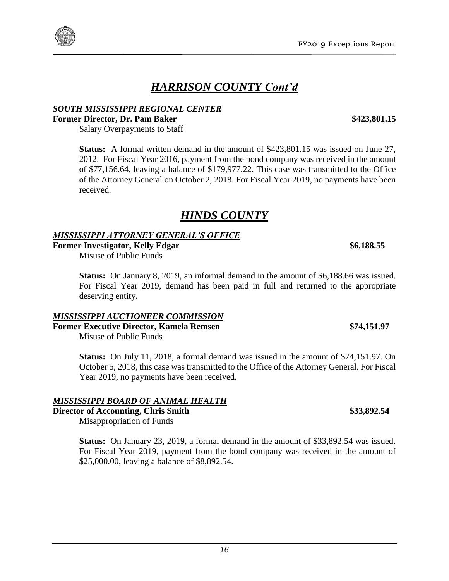## *HARRISON COUNTY Cont'd*

### *SOUTH MISSISSIPPI REGIONAL CENTER*

### **Former Director, Dr. Pam Baker 1988 1988 \$423,801.15**

Salary Overpayments to Staff

**Status:** A formal written demand in the amount of \$423,801.15 was issued on June 27, 2012. For Fiscal Year 2016, payment from the bond company was received in the amount of \$77,156.64, leaving a balance of \$179,977.22. This case was transmitted to the Office of the Attorney General on October 2, 2018. For Fiscal Year 2019, no payments have been received.

## *HINDS COUNTY*

### *MISSISSIPPI ATTORNEY GENERAL'S OFFICE*

Former Investigator, Kelly Edgar **\$6,188.55** 

Misuse of Public Funds

**Status:** On January 8, 2019, an informal demand in the amount of \$6,188.66 was issued. For Fiscal Year 2019, demand has been paid in full and returned to the appropriate deserving entity.

### *MISSISSIPPI AUCTIONEER COMMISSION*

**Former Executive Director, Kamela Remsen \$74,151.97** Misuse of Public Funds

**Status:** On July 11, 2018, a formal demand was issued in the amount of \$74,151.97. On October 5, 2018, this case was transmitted to the Office of the Attorney General. For Fiscal Year 2019, no payments have been received.

### *MISSISSIPPI BOARD OF ANIMAL HEALTH*

**Director of Accounting, Chris Smith**  $\qquad$  **\$33,892.54** Misappropriation of Funds

**Status:** On January 23, 2019, a formal demand in the amount of \$33,892.54 was issued. For Fiscal Year 2019, payment from the bond company was received in the amount of \$25,000.00, leaving a balance of \$8,892.54.

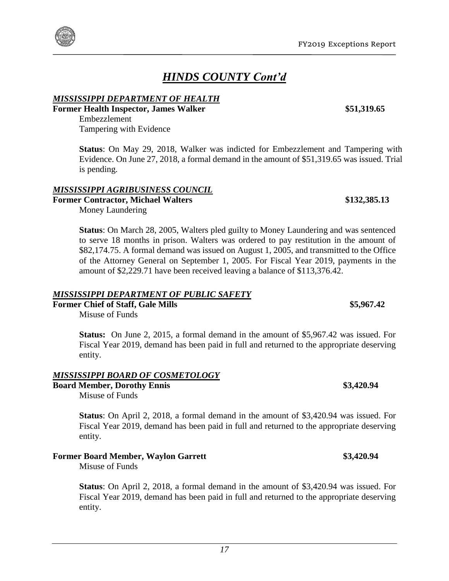## *HINDS COUNTY Cont'd*

### *MISSISSIPPI DEPARTMENT OF HEALTH*

### **Former Health Inspector, James Walker \$51,319.65**

Embezzlement Tampering with Evidence

**Status**: On May 29, 2018, Walker was indicted for Embezzlement and Tampering with Evidence. On June 27, 2018, a formal demand in the amount of \$51,319.65 was issued. Trial is pending.

### *MISSISSIPPI AGRIBUSINESS COUNCIL*

### **Former Contractor, Michael Walters \$132,385.13**

Money Laundering

**Status**: On March 28, 2005, Walters pled guilty to Money Laundering and was sentenced to serve 18 months in prison. Walters was ordered to pay restitution in the amount of \$82,174.75. A formal demand was issued on August 1, 2005, and transmitted to the Office of the Attorney General on September 1, 2005. For Fiscal Year 2019, payments in the amount of \$2,229.71 have been received leaving a balance of \$113,376.42.

### *MISSISSIPPI DEPARTMENT OF PUBLIC SAFETY*

**Former Chief of Staff, Gale Mills \$5,967.42**

Misuse of Funds

**Status:** On June 2, 2015, a formal demand in the amount of \$5,967.42 was issued. For Fiscal Year 2019, demand has been paid in full and returned to the appropriate deserving entity.

### *MISSISSIPPI BOARD OF COSMETOLOGY*

**Board Member, Dorothy Ennis \$3,420.94** Misuse of Funds

**Status**: On April 2, 2018, a formal demand in the amount of \$3,420.94 was issued. For Fiscal Year 2019, demand has been paid in full and returned to the appropriate deserving entity.

### **Former Board Member, Waylon Garrett \$3,420.94**

Misuse of Funds

**Status**: On April 2, 2018, a formal demand in the amount of \$3,420.94 was issued. For Fiscal Year 2019, demand has been paid in full and returned to the appropriate deserving entity.

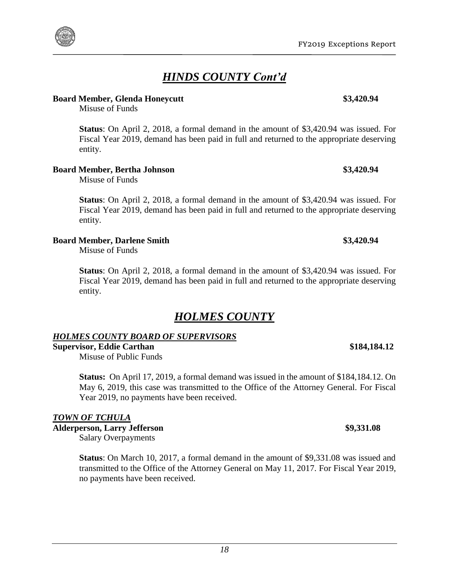## *HINDS COUNTY Cont'd*

### **Board Member, Glenda Honeycutt \$3,420.94**

Misuse of Funds

**Status**: On April 2, 2018, a formal demand in the amount of \$3,420.94 was issued. For Fiscal Year 2019, demand has been paid in full and returned to the appropriate deserving entity.

### **Board Member, Bertha Johnson \$3,420.94**

Misuse of Funds

**Status**: On April 2, 2018, a formal demand in the amount of \$3,420.94 was issued. For Fiscal Year 2019, demand has been paid in full and returned to the appropriate deserving entity.

### **Board Member, Darlene Smith \$3,420.94**

Misuse of Funds

**Status**: On April 2, 2018, a formal demand in the amount of \$3,420.94 was issued. For Fiscal Year 2019, demand has been paid in full and returned to the appropriate deserving entity.

## *HOLMES COUNTY*

### *HOLMES COUNTY BOARD OF SUPERVISORS*

**Supervisor, Eddie Carthan \$184,184.12** 

Misuse of Public Funds

**Status:** On April 17, 2019, a formal demand was issued in the amount of \$184,184.12. On May 6, 2019, this case was transmitted to the Office of the Attorney General. For Fiscal Year 2019, no payments have been received.

### *TOWN OF TCHULA*

**Alderperson, Larry Jefferson \$9,331.08**  Salary Overpayments

**Status**: On March 10, 2017, a formal demand in the amount of \$9,331.08 was issued and transmitted to the Office of the Attorney General on May 11, 2017. For Fiscal Year 2019, no payments have been received.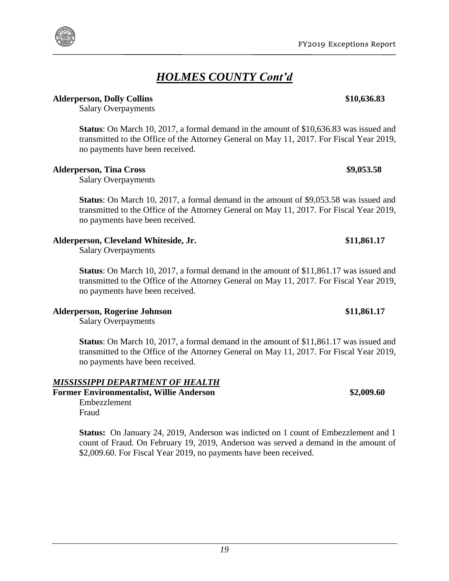## *HOLMES COUNTY Cont'd*

### **Alderperson, Dolly Collins \$10,636.83**

Salary Overpayments

**Status**: On March 10, 2017, a formal demand in the amount of \$10,636.83 was issued and transmitted to the Office of the Attorney General on May 11, 2017. For Fiscal Year 2019, no payments have been received.

### **Alderperson, Tina Cross \$9,053.58**

Salary Overpayments

**Status**: On March 10, 2017, a formal demand in the amount of \$9,053.58 was issued and transmitted to the Office of the Attorney General on May 11, 2017. For Fiscal Year 2019, no payments have been received.

### **Alderperson, Cleveland Whiteside, Jr. \$11,861.17**

Salary Overpayments

**Status**: On March 10, 2017, a formal demand in the amount of \$11,861.17 was issued and transmitted to the Office of the Attorney General on May 11, 2017. For Fiscal Year 2019, no payments have been received.

### **Alderperson, Rogerine Johnson \$11,861.17**

Salary Overpayments

**Status**: On March 10, 2017, a formal demand in the amount of \$11,861.17 was issued and transmitted to the Office of the Attorney General on May 11, 2017. For Fiscal Year 2019, no payments have been received.

### *MISSISSIPPI DEPARTMENT OF HEALTH*

**Former Environmentalist, Willie Anderson \$2,009.60**

Embezzlement Fraud

**Status:** On January 24, 2019, Anderson was indicted on 1 count of Embezzlement and 1 count of Fraud. On February 19, 2019, Anderson was served a demand in the amount of \$2,009.60. For Fiscal Year 2019, no payments have been received.

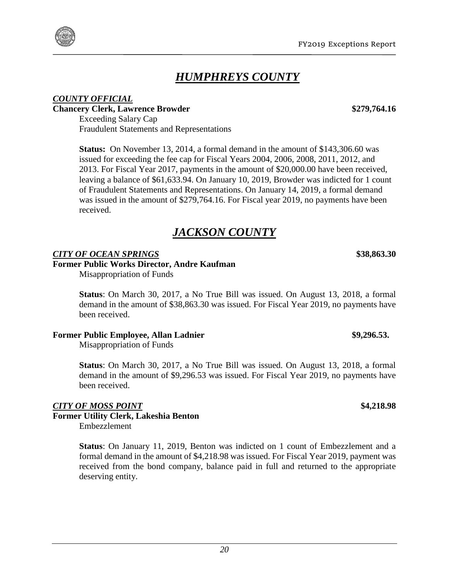FY2019 Exceptions Report

*20*

# *HUMPHREYS COUNTY*

### *COUNTY OFFICIAL*

### **Chancery Clerk, Lawrence Browder \$279,764.16** Exceeding Salary Cap

Fraudulent Statements and Representations

**Status:** On November 13, 2014, a formal demand in the amount of \$143,306.60 was issued for exceeding the fee cap for Fiscal Years 2004, 2006, 2008, 2011, 2012, and 2013. For Fiscal Year 2017, payments in the amount of \$20,000.00 have been received, leaving a balance of \$61,633.94. On January 10, 2019, Browder was indicted for 1 count of Fraudulent Statements and Representations. On January 14, 2019, a formal demand was issued in the amount of \$279,764.16. For Fiscal year 2019, no payments have been received.

## *JACKSON COUNTY*

### *CITY OF OCEAN SPRINGS* **\$38,863.30**

**Former Public Works Director, Andre Kaufman** Misappropriation of Funds

> **Status**: On March 30, 2017, a No True Bill was issued. On August 13, 2018, a formal demand in the amount of \$38,863.30 was issued. For Fiscal Year 2019, no payments have been received.

### **Former Public Employee, Allan Ladnier \$9,296.53.**

Misappropriation of Funds

**Status**: On March 30, 2017, a No True Bill was issued. On August 13, 2018, a formal demand in the amount of \$9,296.53 was issued. For Fiscal Year 2019, no payments have been received.

### *CITY OF MOSS POINT* **\$4,218.98**

**Former Utility Clerk, Lakeshia Benton**

Embezzlement

**Status**: On January 11, 2019, Benton was indicted on 1 count of Embezzlement and a formal demand in the amount of \$4,218.98 was issued. For Fiscal Year 2019, payment was received from the bond company, balance paid in full and returned to the appropriate deserving entity.

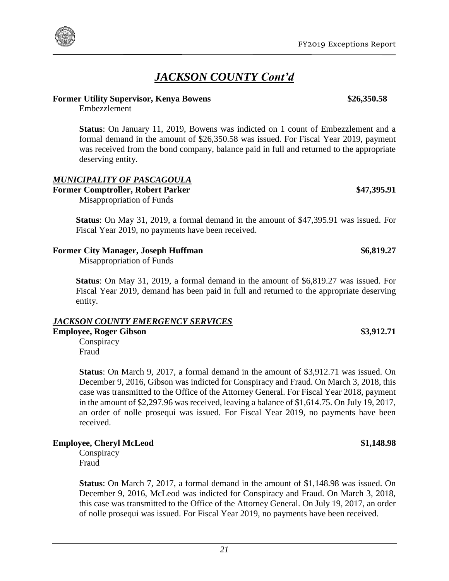## *JACKSON COUNTY Cont'd*

### **Former Utility Supervisor, Kenya Bowens \$26,350.58**

Embezzlement

**Status**: On January 11, 2019, Bowens was indicted on 1 count of Embezzlement and a formal demand in the amount of \$26,350.58 was issued. For Fiscal Year 2019, payment was received from the bond company, balance paid in full and returned to the appropriate deserving entity.

### *MUNICIPALITY OF PASCAGOULA*

**Former Comptroller, Robert Parker 647,395.91** Misappropriation of Funds

**Status**: On May 31, 2019, a formal demand in the amount of \$47,395.91 was issued. For Fiscal Year 2019, no payments have been received.

### **Former City Manager, Joseph Huffman \$6,819.27**

Misappropriation of Funds

**Status**: On May 31, 2019, a formal demand in the amount of \$6,819.27 was issued. For Fiscal Year 2019, demand has been paid in full and returned to the appropriate deserving entity.

### *JACKSON COUNTY EMERGENCY SERVICES*

### **Employee, Roger Gibson \$3,912.71**

**Conspiracy** Fraud

**Status**: On March 9, 2017, a formal demand in the amount of \$3,912.71 was issued. On December 9, 2016, Gibson was indicted for Conspiracy and Fraud. On March 3, 2018, this case was transmitted to the Office of the Attorney General. For Fiscal Year 2018, payment in the amount of \$2,297.96 was received, leaving a balance of \$1,614.75. On July 19, 2017, an order of nolle prosequi was issued. For Fiscal Year 2019, no payments have been received.

### **Employee, Cheryl McLeod \$1,148.98**

**Conspiracy** Fraud

**Status**: On March 7, 2017, a formal demand in the amount of \$1,148.98 was issued. On December 9, 2016, McLeod was indicted for Conspiracy and Fraud. On March 3, 2018, this case was transmitted to the Office of the Attorney General. On July 19, 2017, an order of nolle prosequi was issued. For Fiscal Year 2019, no payments have been received.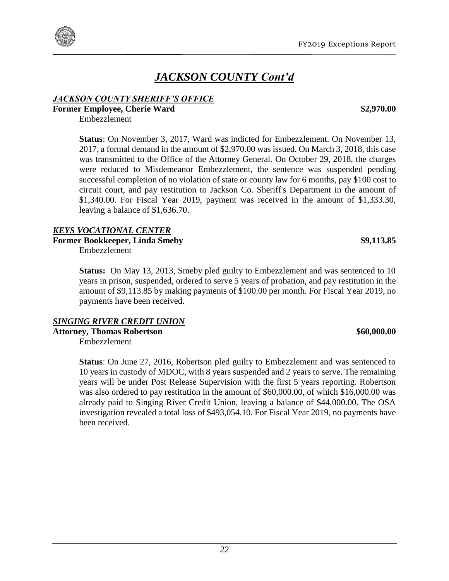## *JACKSON COUNTY Cont'd*

*JACKSON COUNTY SHERIFF'S OFFICE*

**Former Employee, Cherie Ward \$2,970.00** Embezzlement

**Status**: On November 3, 2017, Ward was indicted for Embezzlement. On November 13, 2017, a formal demand in the amount of \$2,970.00 was issued. On March 3, 2018, this case was transmitted to the Office of the Attorney General. On October 29, 2018, the charges were reduced to Misdemeanor Embezzlement, the sentence was suspended pending successful completion of no violation of state or county law for 6 months, pay \$100 cost to circuit court, and pay restitution to Jackson Co. Sheriff's Department in the amount of \$1,340.00. For Fiscal Year 2019, payment was received in the amount of \$1,333.30, leaving a balance of \$1,636.70.

## *KEYS VOCATIONAL CENTER*

**Former Bookkeeper, Linda Smeby \$9,113.85**

Embezzlement

**Status:** On May 13, 2013, Smeby pled guilty to Embezzlement and was sentenced to 10 years in prison, suspended, ordered to serve 5 years of probation, and pay restitution in the amount of \$9,113.85 by making payments of \$100.00 per month. For Fiscal Year 2019, no payments have been received.

### *SINGING RIVER CREDIT UNION*

Attorney, Thomas Robertson **\$60,000.00** Embezzlement

**Status**: On June 27, 2016, Robertson pled guilty to Embezzlement and was sentenced to 10 years in custody of MDOC, with 8 years suspended and 2 years to serve. The remaining years will be under Post Release Supervision with the first 5 years reporting. Robertson was also ordered to pay restitution in the amount of \$60,000.00, of which \$16,000.00 was already paid to Singing River Credit Union, leaving a balance of \$44,000.00. The OSA investigation revealed a total loss of \$493,054.10. For Fiscal Year 2019, no payments have been received.

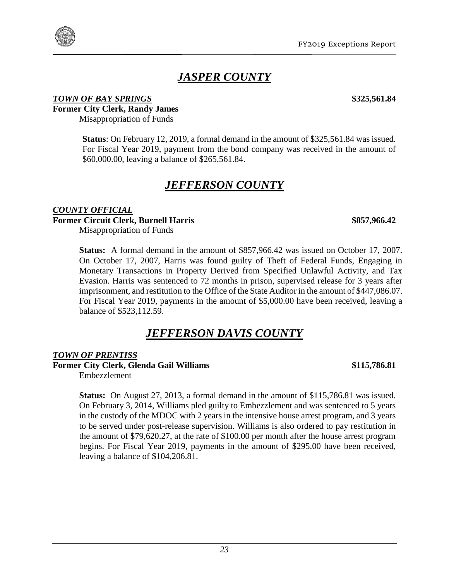## *JASPER COUNTY*

### *TOWN OF BAY SPRINGS* **\$325,561.84 Former City Clerk, Randy James**

Misappropriation of Funds

**Status**: On February 12, 2019, a formal demand in the amount of \$325,561.84 was issued. For Fiscal Year 2019, payment from the bond company was received in the amount of \$60,000.00, leaving a balance of \$265,561.84.

## *JEFFERSON COUNTY*

## *COUNTY OFFICIAL*

**Former Circuit Clerk, Burnell Harris \$857,966.42**

Misappropriation of Funds

**Status:** A formal demand in the amount of \$857,966.42 was issued on October 17, 2007. On October 17, 2007, Harris was found guilty of Theft of Federal Funds, Engaging in Monetary Transactions in Property Derived from Specified Unlawful Activity, and Tax Evasion. Harris was sentenced to 72 months in prison, supervised release for 3 years after imprisonment, and restitution to the Office of the State Auditor in the amount of \$447,086.07. For Fiscal Year 2019, payments in the amount of \$5,000.00 have been received, leaving a balance of \$523,112.59.

## *JEFFERSON DAVIS COUNTY*

### *TOWN OF PRENTISS*

**Former City Clerk, Glenda Gail Williams \$115,786.81** Embezzlement

**Status:** On August 27, 2013, a formal demand in the amount of \$115,786.81 was issued. On February 3, 2014, Williams pled guilty to Embezzlement and was sentenced to 5 years in the custody of the MDOC with 2 years in the intensive house arrest program, and 3 years to be served under post-release supervision. Williams is also ordered to pay restitution in the amount of \$79,620.27, at the rate of \$100.00 per month after the house arrest program begins. For Fiscal Year 2019, payments in the amount of \$295.00 have been received, leaving a balance of \$104,206.81.



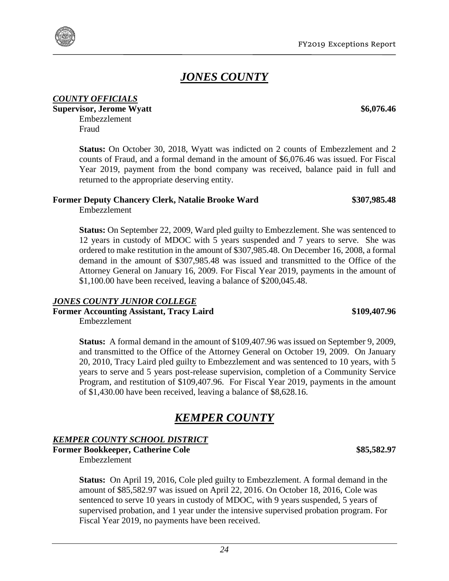## *JONES COUNTY*

### *COUNTY OFFICIALS*

## **Supervisor, Jerome Wyatt \$6,076.46**

Embezzlement Fraud

> **Status:** On October 30, 2018, Wyatt was indicted on 2 counts of Embezzlement and 2 counts of Fraud, and a formal demand in the amount of \$6,076.46 was issued. For Fiscal Year 2019, payment from the bond company was received, balance paid in full and returned to the appropriate deserving entity.

### **Former Deputy Chancery Clerk, Natalie Brooke Ward \$307,985.48**

Embezzlement

**Status:** On September 22, 2009, Ward pled guilty to Embezzlement. She was sentenced to 12 years in custody of MDOC with 5 years suspended and 7 years to serve. She was ordered to make restitution in the amount of \$307,985.48. On December 16, 2008, a formal demand in the amount of \$307,985.48 was issued and transmitted to the Office of the Attorney General on January 16, 2009. For Fiscal Year 2019, payments in the amount of \$1,100.00 have been received, leaving a balance of \$200,045.48.

## *JONES COUNTY JUNIOR COLLEGE*

Former Accounting Assistant, Tracy Laird **\$109,407.96** Embezzlement

**Status:** A formal demand in the amount of \$109,407.96 was issued on September 9, 2009, and transmitted to the Office of the Attorney General on October 19, 2009. On January 20, 2010, Tracy Laird pled guilty to Embezzlement and was sentenced to 10 years, with 5 years to serve and 5 years post-release supervision, completion of a Community Service Program, and restitution of \$109,407.96. For Fiscal Year 2019, payments in the amount of \$1,430.00 have been received, leaving a balance of \$8,628.16.

# *KEMPER COUNTY*

## *KEMPER COUNTY SCHOOL DISTRICT*

**Former Bookkeeper, Catherine Cole \$85,582.97** 

Embezzlement

**Status:** On April 19, 2016, Cole pled guilty to Embezzlement. A formal demand in the amount of \$85,582.97 was issued on April 22, 2016. On October 18, 2016, Cole was sentenced to serve 10 years in custody of MDOC, with 9 years suspended, 5 years of supervised probation, and 1 year under the intensive supervised probation program. For Fiscal Year 2019, no payments have been received.

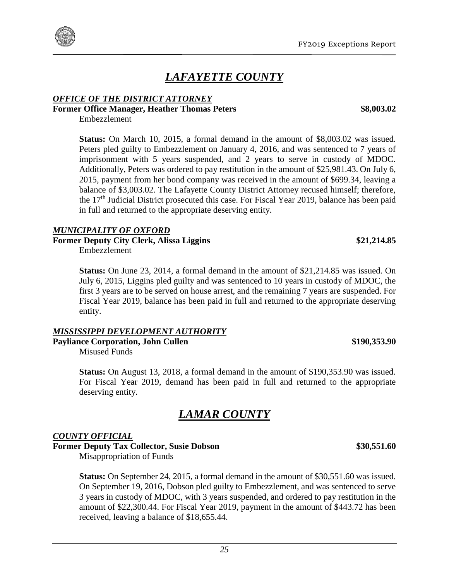## *LAFAYETTE COUNTY*

### *OFFICE OF THE DISTRICT ATTORNEY*

**Former Office Manager, Heather Thomas Peters \$8,003.02** Embezzlement

**Status:** On March 10, 2015, a formal demand in the amount of \$8,003.02 was issued. Peters pled guilty to Embezzlement on January 4, 2016, and was sentenced to 7 years of imprisonment with 5 years suspended, and 2 years to serve in custody of MDOC. Additionally, Peters was ordered to pay restitution in the amount of \$25,981.43. On July 6, 2015, payment from her bond company was received in the amount of \$699.34, leaving a balance of \$3,003.02. The Lafayette County District Attorney recused himself; therefore, the 17<sup>th</sup> Judicial District prosecuted this case. For Fiscal Year 2019, balance has been paid in full and returned to the appropriate deserving entity.

### *MUNICIPALITY OF OXFORD*

### **Former Deputy City Clerk, Alissa Liggins \$21,214.85**

Embezzlement

**Status:** On June 23, 2014, a formal demand in the amount of \$21,214.85 was issued. On July 6, 2015, Liggins pled guilty and was sentenced to 10 years in custody of MDOC, the first 3 years are to be served on house arrest, and the remaining 7 years are suspended. For Fiscal Year 2019, balance has been paid in full and returned to the appropriate deserving entity.

### *MISSISSIPPI DEVELOPMENT AUTHORITY*

**Payliance Corporation, John Cullen 8190,353.90** 

Misused Funds

**Status:** On August 13, 2018, a formal demand in the amount of \$190,353.90 was issued. For Fiscal Year 2019, demand has been paid in full and returned to the appropriate deserving entity.

## *LAMAR COUNTY*

### *COUNTY OFFICIAL*

## **Former Deputy Tax Collector, Susie Dobson \$30,551.60**

Misappropriation of Funds

**Status:** On September 24, 2015, a formal demand in the amount of \$30,551.60 was issued. On September 19, 2016, Dobson pled guilty to Embezzlement, and was sentenced to serve 3 years in custody of MDOC, with 3 years suspended, and ordered to pay restitution in the amount of \$22,300.44. For Fiscal Year 2019, payment in the amount of \$443.72 has been received, leaving a balance of \$18,655.44.

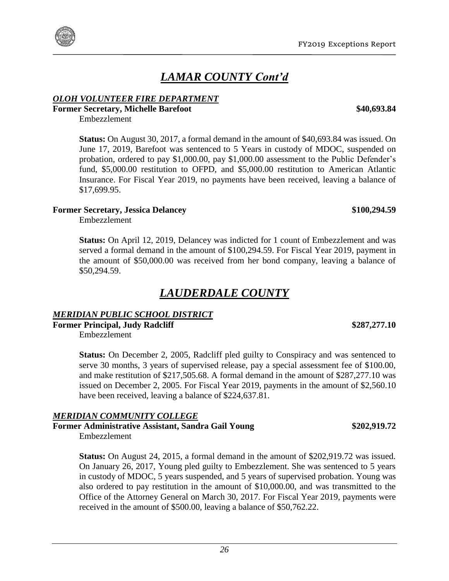## *LAMAR COUNTY Cont'd*

### *OLOH VOLUNTEER FIRE DEPARTMENT*

**Former Secretary, Michelle Barefoot \$40,693.84** Embezzlement

**Status:** On August 30, 2017, a formal demand in the amount of \$40,693.84 was issued. On June 17, 2019, Barefoot was sentenced to 5 Years in custody of MDOC, suspended on probation, ordered to pay \$1,000.00, pay \$1,000.00 assessment to the Public Defender's fund, \$5,000.00 restitution to OFPD, and \$5,000.00 restitution to American Atlantic Insurance. For Fiscal Year 2019, no payments have been received, leaving a balance of \$17,699.95.

### **Former Secretary, Jessica Delancey <b>6100,294.59 \$100,294.59**

Embezzlement

**Status:** On April 12, 2019, Delancey was indicted for 1 count of Embezzlement and was served a formal demand in the amount of \$100,294.59. For Fiscal Year 2019, payment in the amount of \$50,000.00 was received from her bond company, leaving a balance of \$50,294.59.

## *LAUDERDALE COUNTY*

### *MERIDIAN PUBLIC SCHOOL DISTRICT*

## **Former Principal, Judy Radcliff \$287,277.10**

Embezzlement

**Status:** On December 2, 2005, Radcliff pled guilty to Conspiracy and was sentenced to serve 30 months, 3 years of supervised release, pay a special assessment fee of \$100.00, and make restitution of \$217,505.68. A formal demand in the amount of \$287,277.10 was issued on December 2, 2005. For Fiscal Year 2019, payments in the amount of \$2,560.10 have been received, leaving a balance of \$224,637.81.

### *MERIDIAN COMMUNITY COLLEGE*

**Former Administrative Assistant, Sandra Gail Young \$202,919.72**

Embezzlement

**Status:** On August 24, 2015, a formal demand in the amount of \$202,919.72 was issued. On January 26, 2017, Young pled guilty to Embezzlement. She was sentenced to 5 years in custody of MDOC, 5 years suspended, and 5 years of supervised probation. Young was also ordered to pay restitution in the amount of \$10,000.00, and was transmitted to the Office of the Attorney General on March 30, 2017. For Fiscal Year 2019, payments were received in the amount of \$500.00, leaving a balance of \$50,762.22.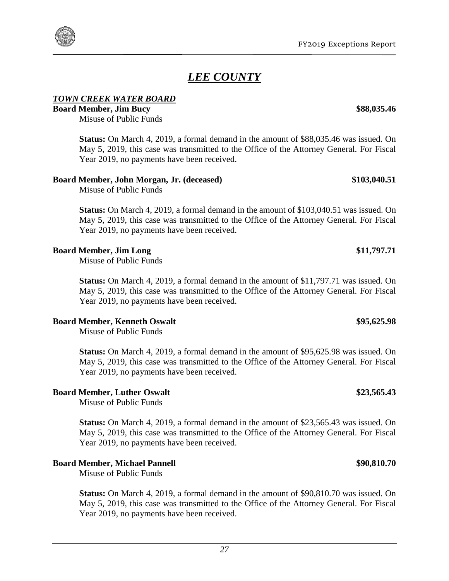## *LEE COUNTY*

### *TOWN CREEK WATER BOARD*

**Board Member, Jim Bucy \$88,035.46** Misuse of Public Funds

**Status:** On March 4, 2019, a formal demand in the amount of \$88,035.46 was issued. On May 5, 2019, this case was transmitted to the Office of the Attorney General. For Fiscal Year 2019, no payments have been received.

### **Board Member, John Morgan, Jr. (deceased) \$103,040.51**

Misuse of Public Funds

**Status:** On March 4, 2019, a formal demand in the amount of \$103,040.51 was issued. On May 5, 2019, this case was transmitted to the Office of the Attorney General. For Fiscal Year 2019, no payments have been received.

### **Board Member, Jim Long <b>\$11,797.71 \$11,797.71**

Misuse of Public Funds

**Status:** On March 4, 2019, a formal demand in the amount of \$11,797.71 was issued. On May 5, 2019, this case was transmitted to the Office of the Attorney General. For Fiscal Year 2019, no payments have been received.

### **Board Member, Kenneth Oswalt \$95,625.98**

Misuse of Public Funds

**Status:** On March 4, 2019, a formal demand in the amount of \$95,625.98 was issued. On May 5, 2019, this case was transmitted to the Office of the Attorney General. For Fiscal Year 2019, no payments have been received.

### **Board Member, Luther Oswalt \$23,565.43**

Misuse of Public Funds

**Status:** On March 4, 2019, a formal demand in the amount of \$23,565.43 was issued. On May 5, 2019, this case was transmitted to the Office of the Attorney General. For Fiscal Year 2019, no payments have been received.

### **Board Member, Michael Pannell \$90,810.70**

Misuse of Public Funds

**Status:** On March 4, 2019, a formal demand in the amount of \$90,810.70 was issued. On May 5, 2019, this case was transmitted to the Office of the Attorney General. For Fiscal Year 2019, no payments have been received.

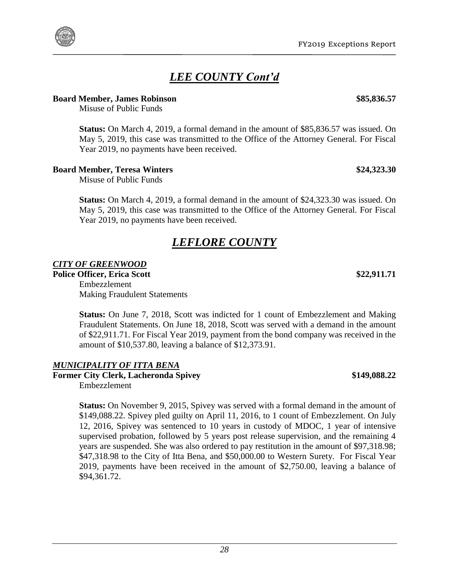## *LEE COUNTY Cont'd*

### **Board Member, James Robinson \$85,836.57**

Misuse of Public Funds

**Status:** On March 4, 2019, a formal demand in the amount of \$85,836.57 was issued. On May 5, 2019, this case was transmitted to the Office of the Attorney General. For Fiscal Year 2019, no payments have been received.

### **Board Member, Teresa Winters \$24,323.30**

Misuse of Public Funds

**Status:** On March 4, 2019, a formal demand in the amount of \$24,323.30 was issued. On May 5, 2019, this case was transmitted to the Office of the Attorney General. For Fiscal Year 2019, no payments have been received.

## *LEFLORE COUNTY*

### *CITY OF GREENWOOD*

Police Officer, Erica Scott **\$22,911.71** 

Embezzlement Making Fraudulent Statements

**Status:** On June 7, 2018, Scott was indicted for 1 count of Embezzlement and Making Fraudulent Statements. On June 18, 2018, Scott was served with a demand in the amount of \$22,911.71. For Fiscal Year 2019, payment from the bond company was received in the amount of \$10,537.80, leaving a balance of \$12,373.91.

### *MUNICIPALITY OF ITTA BENA*

### **Former City Clerk, Lacheronda Spivey \$149,088.22**

Embezzlement

**Status:** On November 9, 2015, Spivey was served with a formal demand in the amount of \$149,088.22. Spivey pled guilty on April 11, 2016, to 1 count of Embezzlement. On July 12, 2016, Spivey was sentenced to 10 years in custody of MDOC, 1 year of intensive supervised probation, followed by 5 years post release supervision, and the remaining 4 years are suspended. She was also ordered to pay restitution in the amount of \$97,318.98; \$47,318.98 to the City of Itta Bena, and \$50,000.00 to Western Surety. For Fiscal Year 2019, payments have been received in the amount of \$2,750.00, leaving a balance of \$94,361.72.

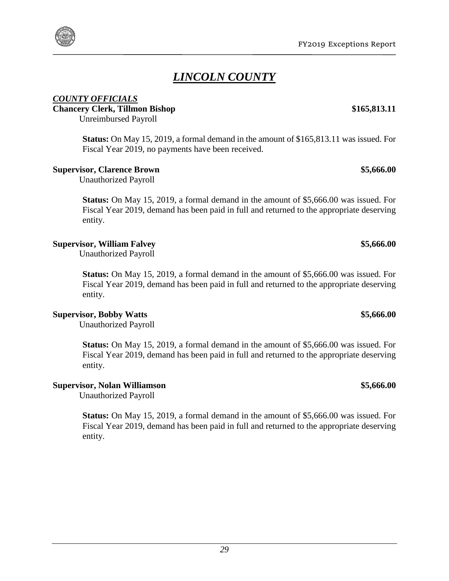## *LINCOLN COUNTY*

### *COUNTY OFFICIALS*

**Chancery Clerk, Tillmon Bishop \$165,813.11** Unreimbursed Payroll

**Status:** On May 15, 2019, a formal demand in the amount of \$165,813.11 was issued. For Fiscal Year 2019, no payments have been received.

### **Supervisor, Clarence Brown \$5,666.00**

Unauthorized Payroll

**Status:** On May 15, 2019, a formal demand in the amount of \$5,666.00 was issued. For Fiscal Year 2019, demand has been paid in full and returned to the appropriate deserving entity.

### **Supervisor, William Falvey \$5,666.00**

Unauthorized Payroll

**Status:** On May 15, 2019, a formal demand in the amount of \$5,666.00 was issued. For Fiscal Year 2019, demand has been paid in full and returned to the appropriate deserving entity.

### **Supervisor, Bobby Watts \$5,666.00**

Unauthorized Payroll

**Status:** On May 15, 2019, a formal demand in the amount of \$5,666.00 was issued. For Fiscal Year 2019, demand has been paid in full and returned to the appropriate deserving entity.

### **Supervisor, Nolan Williamson \$5,666.00**

Unauthorized Payroll

**Status:** On May 15, 2019, a formal demand in the amount of \$5,666.00 was issued. For Fiscal Year 2019, demand has been paid in full and returned to the appropriate deserving entity.



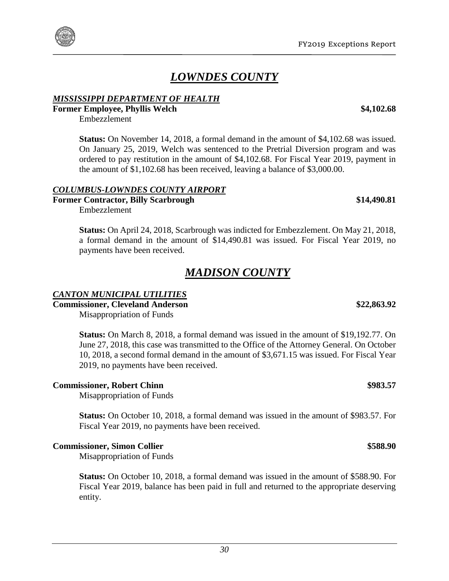## *LOWNDES COUNTY*

### *MISSISSIPPI DEPARTMENT OF HEALTH*

**Former Employee, Phyllis Welch \$4,102.68**

Embezzlement

**Status:** On November 14, 2018, a formal demand in the amount of \$4,102.68 was issued. On January 25, 2019, Welch was sentenced to the Pretrial Diversion program and was ordered to pay restitution in the amount of \$4,102.68. For Fiscal Year 2019, payment in the amount of \$1,102.68 has been received, leaving a balance of \$3,000.00.

### *COLUMBUS-LOWNDES COUNTY AIRPORT*

Former Contractor, Billy Scarbrough **\$14,490.81** 

Embezzlement

**Status:** On April 24, 2018, Scarbrough was indicted for Embezzlement. On May 21, 2018, a formal demand in the amount of \$14,490.81 was issued. For Fiscal Year 2019, no payments have been received.

## *MADISON COUNTY*

### *CANTON MUNICIPAL UTILITIES*

**Commissioner, Cleveland Anderson \$22,863.92**

Misappropriation of Funds

**Status:** On March 8, 2018, a formal demand was issued in the amount of \$19,192.77. On June 27, 2018, this case was transmitted to the Office of the Attorney General. On October 10, 2018, a second formal demand in the amount of \$3,671.15 was issued. For Fiscal Year 2019, no payments have been received.

### **Commissioner, Robert Chinn 6983.57**

Misappropriation of Funds

**Status:** On October 10, 2018, a formal demand was issued in the amount of \$983.57. For Fiscal Year 2019, no payments have been received.

### **Commissioner, Simon Collier \$588.90**

Misappropriation of Funds

**Status:** On October 10, 2018, a formal demand was issued in the amount of \$588.90. For Fiscal Year 2019, balance has been paid in full and returned to the appropriate deserving entity.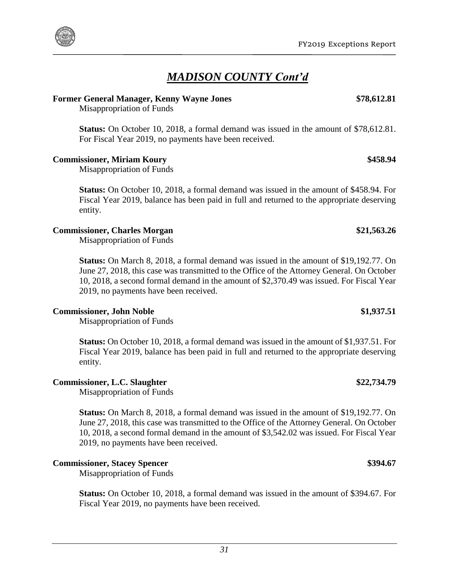## *MADISON COUNTY Cont'd*

### **Former General Manager, Kenny Wayne Jones \$78,612.81**

Misappropriation of Funds

**Status:** On October 10, 2018, a formal demand was issued in the amount of \$78,612.81. For Fiscal Year 2019, no payments have been received.

### **Commissioner, Miriam Koury 6458.94 \$458.94**

Misappropriation of Funds

**Status:** On October 10, 2018, a formal demand was issued in the amount of \$458.94. For Fiscal Year 2019, balance has been paid in full and returned to the appropriate deserving entity.

### **Commissioner, Charles Morgan \$21,563.26**

Misappropriation of Funds

**Status:** On March 8, 2018, a formal demand was issued in the amount of \$19,192.77. On June 27, 2018, this case was transmitted to the Office of the Attorney General. On October 10, 2018, a second formal demand in the amount of \$2,370.49 was issued. For Fiscal Year 2019, no payments have been received.

### **Commissioner, John Noble \$1,937.51**

Misappropriation of Funds

**Status:** On October 10, 2018, a formal demand was issued in the amount of \$1,937.51. For Fiscal Year 2019, balance has been paid in full and returned to the appropriate deserving entity.

### **Commissioner, L.C. Slaughter \$22,734.79**

Misappropriation of Funds

**Status:** On March 8, 2018, a formal demand was issued in the amount of \$19,192.77. On June 27, 2018, this case was transmitted to the Office of the Attorney General. On October 10, 2018, a second formal demand in the amount of \$3,542.02 was issued. For Fiscal Year 2019, no payments have been received.

### **Commissioner, Stacey Spencer \$394.67**

Misappropriation of Funds

**Status:** On October 10, 2018, a formal demand was issued in the amount of \$394.67. For Fiscal Year 2019, no payments have been received.

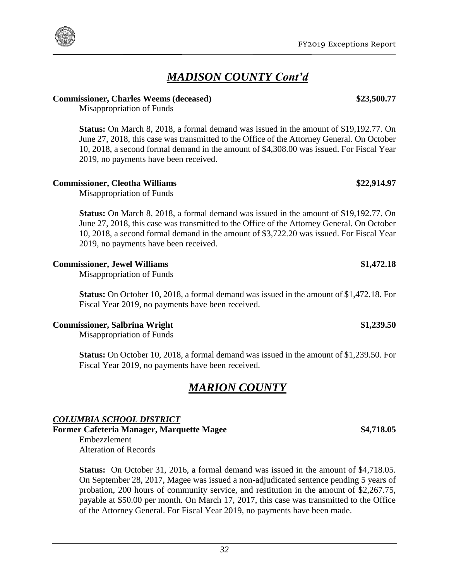## *MADISON COUNTY Cont'd*

### **Commissioner, Charles Weems (deceased) \$23,500.77**

Misappropriation of Funds

**Status:** On March 8, 2018, a formal demand was issued in the amount of \$19,192.77. On June 27, 2018, this case was transmitted to the Office of the Attorney General. On October 10, 2018, a second formal demand in the amount of \$4,308.00 was issued. For Fiscal Year 2019, no payments have been received.

### **Commissioner, Cleotha Williams \$22,914.97**

Misappropriation of Funds

**Status:** On March 8, 2018, a formal demand was issued in the amount of \$19,192.77. On June 27, 2018, this case was transmitted to the Office of the Attorney General. On October 10, 2018, a second formal demand in the amount of \$3,722.20 was issued. For Fiscal Year 2019, no payments have been received.

### **Commissioner, Jewel Williams \$1,472.18**

Misappropriation of Funds

**Status:** On October 10, 2018, a formal demand was issued in the amount of \$1,472.18. For Fiscal Year 2019, no payments have been received.

### **Commissioner, Salbrina Wright \$1,239.50**

Misappropriation of Funds

**Status:** On October 10, 2018, a formal demand was issued in the amount of \$1,239.50. For Fiscal Year 2019, no payments have been received.

## *MARION COUNTY*

### *COLUMBIA SCHOOL DISTRICT*

## **Former Cafeteria Manager, Marquette Magee \$4,718.05**

Embezzlement Alteration of Records

**Status:** On October 31, 2016, a formal demand was issued in the amount of \$4,718.05. On September 28, 2017, Magee was issued a non-adjudicated sentence pending 5 years of probation, 200 hours of community service, and restitution in the amount of \$2,267.75, payable at \$50.00 per month. On March 17, 2017, this case was transmitted to the Office of the Attorney General. For Fiscal Year 2019, no payments have been made.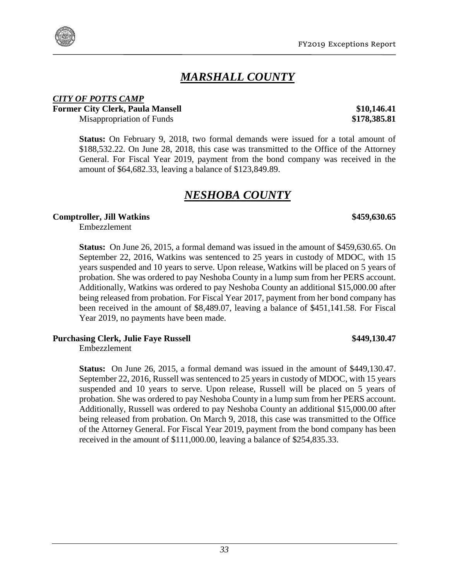## *MARSHALL COUNTY*

## *CITY OF POTTS CAMP* **Former City Clerk, Paula Mansell** \$10,146.41

Misappropriation of Funds **\$178,385.81** 

**Status:** On February 9, 2018, two formal demands were issued for a total amount of \$188,532.22. On June 28, 2018, this case was transmitted to the Office of the Attorney General. For Fiscal Year 2019, payment from the bond company was received in the amount of \$64,682.33, leaving a balance of \$123,849.89.

## *NESHOBA COUNTY*

### **Comptroller, Jill Watkins \$459,630.65**

Embezzlement

**Status:** On June 26, 2015, a formal demand was issued in the amount of \$459,630.65. On September 22, 2016, Watkins was sentenced to 25 years in custody of MDOC, with 15 years suspended and 10 years to serve. Upon release, Watkins will be placed on 5 years of probation. She was ordered to pay Neshoba County in a lump sum from her PERS account. Additionally, Watkins was ordered to pay Neshoba County an additional \$15,000.00 after being released from probation. For Fiscal Year 2017, payment from her bond company has been received in the amount of \$8,489.07, leaving a balance of \$451,141.58. For Fiscal Year 2019, no payments have been made.

### **Purchasing Clerk, Julie Faye Russell \$449,130.47**

Embezzlement

**Status:** On June 26, 2015, a formal demand was issued in the amount of \$449,130.47. September 22, 2016, Russell was sentenced to 25 years in custody of MDOC, with 15 years suspended and 10 years to serve. Upon release, Russell will be placed on 5 years of probation. She was ordered to pay Neshoba County in a lump sum from her PERS account. Additionally, Russell was ordered to pay Neshoba County an additional \$15,000.00 after being released from probation. On March 9, 2018, this case was transmitted to the Office of the Attorney General. For Fiscal Year 2019, payment from the bond company has been received in the amount of \$111,000.00, leaving a balance of \$254,835.33.

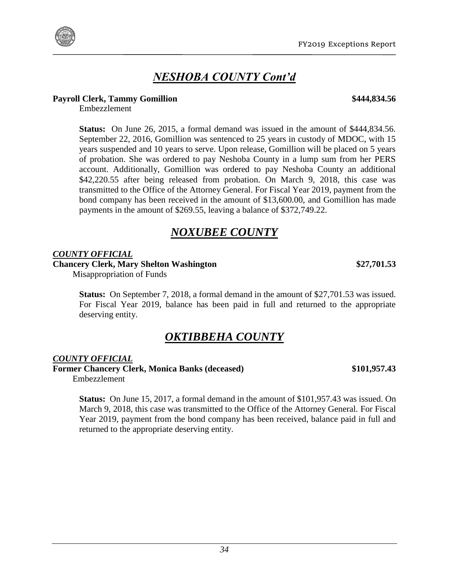## *NESHOBA COUNTY Cont'd*

### **Payroll Clerk, Tammy Gomillion \$444,834.56**

Embezzlement

**Status:** On June 26, 2015, a formal demand was issued in the amount of \$444,834.56. September 22, 2016, Gomillion was sentenced to 25 years in custody of MDOC, with 15 years suspended and 10 years to serve. Upon release, Gomillion will be placed on 5 years of probation. She was ordered to pay Neshoba County in a lump sum from her PERS account. Additionally, Gomillion was ordered to pay Neshoba County an additional \$42,220.55 after being released from probation. On March 9, 2018, this case was transmitted to the Office of the Attorney General. For Fiscal Year 2019, payment from the bond company has been received in the amount of \$13,600.00, and Gomillion has made payments in the amount of \$269.55, leaving a balance of \$372,749.22.

## *NOXUBEE COUNTY*

### *COUNTY OFFICIAL*

**Chancery Clerk, Mary Shelton Washington \$27,701.53** Misappropriation of Funds

**Status:** On September 7, 2018, a formal demand in the amount of \$27,701.53 was issued. For Fiscal Year 2019, balance has been paid in full and returned to the appropriate deserving entity.

## *OKTIBBEHA COUNTY*

### *COUNTY OFFICIAL*

**Former Chancery Clerk, Monica Banks (deceased) \$101,957.43**

Embezzlement

**Status:** On June 15, 2017, a formal demand in the amount of \$101,957.43 was issued. On March 9, 2018, this case was transmitted to the Office of the Attorney General. For Fiscal Year 2019, payment from the bond company has been received, balance paid in full and returned to the appropriate deserving entity.



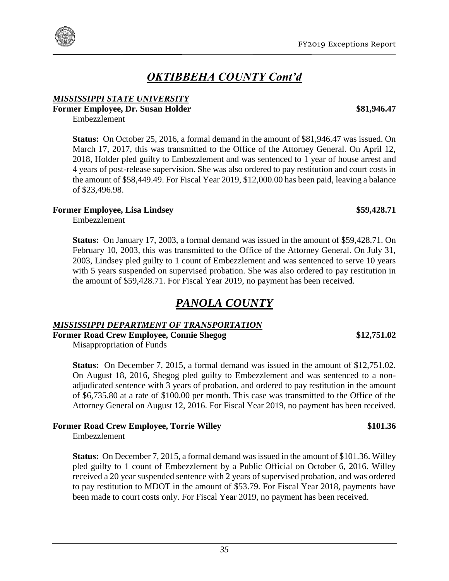## *OKTIBBEHA COUNTY Cont'd*

### *MISSISSIPPI STATE UNIVERSITY*

**Former Employee, Dr. Susan Holder \$81,946.47** 

Embezzlement

**Status:** On October 25, 2016, a formal demand in the amount of \$81,946.47 was issued. On March 17, 2017, this was transmitted to the Office of the Attorney General. On April 12, 2018, Holder pled guilty to Embezzlement and was sentenced to 1 year of house arrest and 4 years of post-release supervision. She was also ordered to pay restitution and court costs in the amount of \$58,449.49. For Fiscal Year 2019, \$12,000.00 has been paid, leaving a balance of \$23,496.98.

### **Former Employee, Lisa Lindsey \$59,428.71**

Embezzlement

**Status:** On January 17, 2003, a formal demand was issued in the amount of \$59,428.71. On February 10, 2003, this was transmitted to the Office of the Attorney General. On July 31, 2003, Lindsey pled guilty to 1 count of Embezzlement and was sentenced to serve 10 years with 5 years suspended on supervised probation. She was also ordered to pay restitution in the amount of \$59,428.71. For Fiscal Year 2019, no payment has been received.

## *PANOLA COUNTY*

### *MISSISSIPPI DEPARTMENT OF TRANSPORTATION*

**Former Road Crew Employee, Connie Shegog \$12,751.02** Misappropriation of Funds

**Status:** On December 7, 2015, a formal demand was issued in the amount of \$12,751.02. On August 18, 2016, Shegog pled guilty to Embezzlement and was sentenced to a nonadjudicated sentence with 3 years of probation, and ordered to pay restitution in the amount of \$6,735.80 at a rate of \$100.00 per month. This case was transmitted to the Office of the Attorney General on August 12, 2016. For Fiscal Year 2019, no payment has been received.

### **Former Road Crew Employee, Torrie Willey \$101.36**

Embezzlement

**Status:** On December 7, 2015, a formal demand was issued in the amount of \$101.36. Willey pled guilty to 1 count of Embezzlement by a Public Official on October 6, 2016. Willey received a 20 year suspended sentence with 2 years of supervised probation, and was ordered to pay restitution to MDOT in the amount of \$53.79. For Fiscal Year 2018, payments have been made to court costs only. For Fiscal Year 2019, no payment has been received.

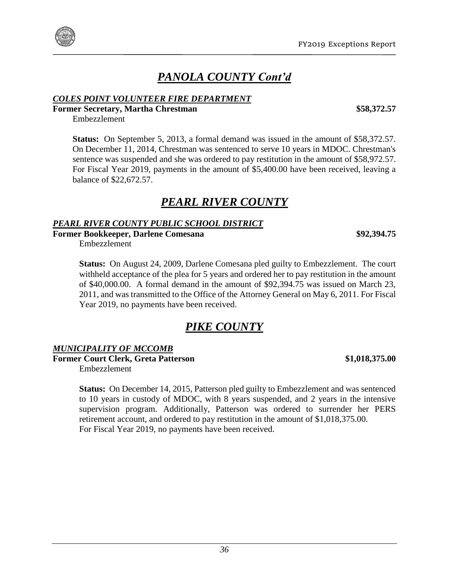## *PANOLA COUNTY Cont'd*

### *COLES POINT VOLUNTEER FIRE DEPARTMENT*

**Former Secretary, Martha Chrestman \$58,372.57** Embezzlement

**Status:** On September 5, 2013, a formal demand was issued in the amount of \$58,372.57. On December 11, 2014, Chrestman was sentenced to serve 10 years in MDOC. Chrestman's sentence was suspended and she was ordered to pay restitution in the amount of \$58,972.57. For Fiscal Year 2019, payments in the amount of \$5,400.00 have been received, leaving a balance of \$22,672.57.

## *PEARL RIVER COUNTY*

### *PEARL RIVER COUNTY PUBLIC SCHOOL DISTRICT*

**Former Bookkeeper, Darlene Comesana \$92,394.75**

Embezzlement

**Status:** On August 24, 2009, Darlene Comesana pled guilty to Embezzlement. The court withheld acceptance of the plea for 5 years and ordered her to pay restitution in the amount of \$40,000.00. A formal demand in the amount of \$92,394.75 was issued on March 23, 2011, and was transmitted to the Office of the Attorney General on May 6, 2011. For Fiscal Year 2019, no payments have been received.

## *PIKE COUNTY*

### *MUNICIPALITY OF MCCOMB*

**Former Court Clerk, Greta Patterson \$1,018,375.00** Embezzlement

**Status:** On December 14, 2015, Patterson pled guilty to Embezzlement and was sentenced to 10 years in custody of MDOC, with 8 years suspended, and 2 years in the intensive supervision program. Additionally, Patterson was ordered to surrender her PERS retirement account, and ordered to pay restitution in the amount of \$1,018,375.00. For Fiscal Year 2019, no payments have been received.

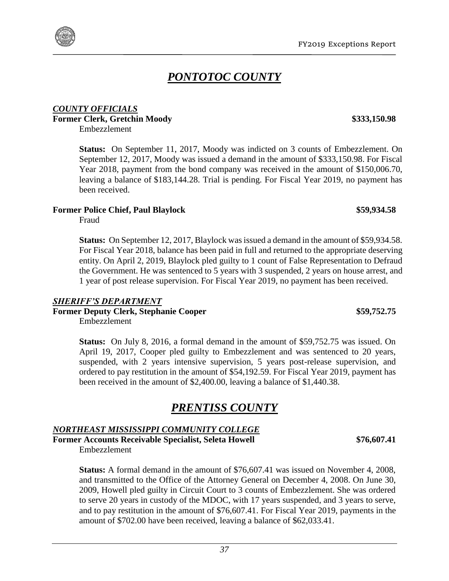## *PONTOTOC COUNTY*

### *COUNTY OFFICIALS* **Former Clerk, Gretchin Moody 6333,150.98**

Embezzlement

**Status:** On September 11, 2017, Moody was indicted on 3 counts of Embezzlement. On September 12, 2017, Moody was issued a demand in the amount of \$333,150.98. For Fiscal Year 2018, payment from the bond company was received in the amount of \$150,006.70, leaving a balance of \$183,144.28. Trial is pending. For Fiscal Year 2019, no payment has been received.

### **Former Police Chief, Paul Blaylock \$59,934.58**

Fraud

**Status:** On September 12, 2017, Blaylock was issued a demand in the amount of \$59,934.58. For Fiscal Year 2018, balance has been paid in full and returned to the appropriate deserving entity. On April 2, 2019, Blaylock pled guilty to 1 count of False Representation to Defraud the Government. He was sentenced to 5 years with 3 suspended, 2 years on house arrest, and 1 year of post release supervision. For Fiscal Year 2019, no payment has been received.

### *SHERIFF'S DEPARTMENT*

**Former Deputy Clerk, Stephanie Cooper \$59,752.75** Embezzlement

**Status:** On July 8, 2016, a formal demand in the amount of \$59,752.75 was issued. On April 19, 2017, Cooper pled guilty to Embezzlement and was sentenced to 20 years, suspended, with 2 years intensive supervision, 5 years post-release supervision, and ordered to pay restitution in the amount of \$54,192.59. For Fiscal Year 2019, payment has been received in the amount of \$2,400.00, leaving a balance of \$1,440.38.

## *PRENTISS COUNTY*

### *NORTHEAST MISSISSIPPI COMMUNITY COLLEGE*

**Former Accounts Receivable Specialist, Seleta Howell \$76,607.41** Embezzlement

**Status:** A formal demand in the amount of \$76,607.41 was issued on November 4, 2008, and transmitted to the Office of the Attorney General on December 4, 2008. On June 30, 2009, Howell pled guilty in Circuit Court to 3 counts of Embezzlement. She was ordered to serve 20 years in custody of the MDOC, with 17 years suspended, and 3 years to serve, and to pay restitution in the amount of \$76,607.41. For Fiscal Year 2019, payments in the amount of \$702.00 have been received, leaving a balance of \$62,033.41.

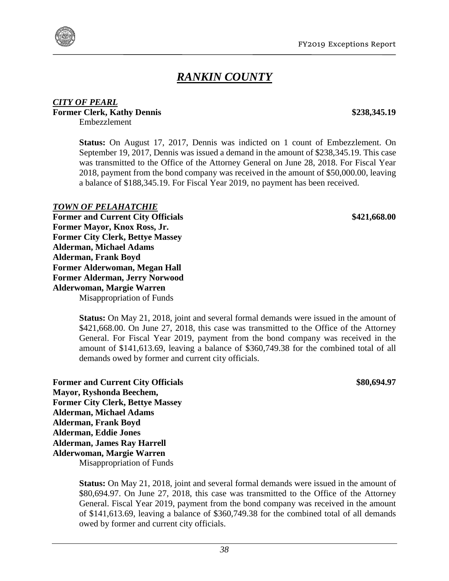## *RANKIN COUNTY*

### *CITY OF PEARL* **Former Clerk, Kathy Dennis \$238,345.19** Embezzlement

**Status:** On August 17, 2017, Dennis was indicted on 1 count of Embezzlement. On September 19, 2017, Dennis was issued a demand in the amount of \$238,345.19. This case was transmitted to the Office of the Attorney General on June 28, 2018. For Fiscal Year 2018, payment from the bond company was received in the amount of \$50,000.00, leaving a balance of \$188,345.19. For Fiscal Year 2019, no payment has been received.

### *TOWN OF PELAHATCHIE*

**Former and Current City Officials \$421,668.00 Former Mayor, Knox Ross, Jr. Former City Clerk, Bettye Massey Alderman, Michael Adams Alderman, Frank Boyd Former Alderwoman, Megan Hall Former Alderman, Jerry Norwood Alderwoman, Margie Warren** Misappropriation of Funds

**Status:** On May 21, 2018, joint and several formal demands were issued in the amount of \$421,668.00. On June 27, 2018, this case was transmitted to the Office of the Attorney General. For Fiscal Year 2019, payment from the bond company was received in the amount of \$141,613.69, leaving a balance of \$360,749.38 for the combined total of all demands owed by former and current city officials.

**Former and Current City Officials 1988 1998 1998 1999 1999 1999 1999 1999 1999 1999 1999 1999 1999 1999 1999 1999 1999 1999 1999 1999 1999 1999 1999 1999 1999 1999 199 Mayor, Ryshonda Beechem, Former City Clerk, Bettye Massey Alderman, Michael Adams Alderman, Frank Boyd Alderman, Eddie Jones Alderman, James Ray Harrell Alderwoman, Margie Warren**  Misappropriation of Funds

**Status:** On May 21, 2018, joint and several formal demands were issued in the amount of \$80,694.97. On June 27, 2018, this case was transmitted to the Office of the Attorney General. Fiscal Year 2019, payment from the bond company was received in the amount of \$141,613.69, leaving a balance of \$360,749.38 for the combined total of all demands owed by former and current city officials.

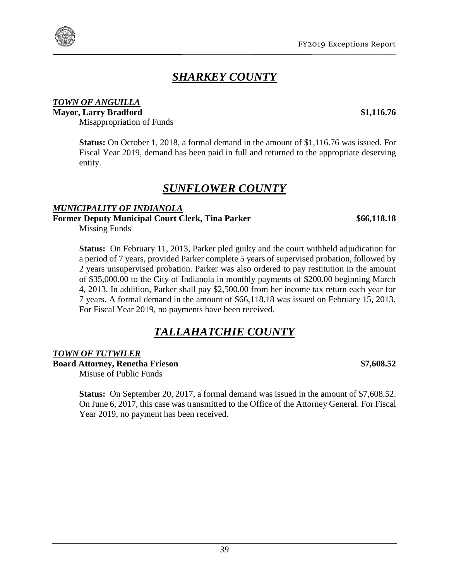## *SHARKEY COUNTY*

### *TOWN OF ANGUILLA*

Misappropriation of Funds

**Status:** On October 1, 2018, a formal demand in the amount of \$1,116.76 was issued. For Fiscal Year 2019, demand has been paid in full and returned to the appropriate deserving entity.

## *SUNFLOWER COUNTY*

### *MUNICIPALITY OF INDIANOLA* **Former Deputy Municipal Court Clerk, Tina Parker 1996 118.18**

Missing Funds

**Status:** On February 11, 2013, Parker pled guilty and the court withheld adjudication for a period of 7 years, provided Parker complete 5 years of supervised probation, followed by 2 years unsupervised probation. Parker was also ordered to pay restitution in the amount of \$35,000.00 to the City of Indianola in monthly payments of \$200.00 beginning March 4, 2013. In addition, Parker shall pay \$2,500.00 from her income tax return each year for 7 years. A formal demand in the amount of \$66,118.18 was issued on February 15, 2013. For Fiscal Year 2019, no payments have been received.

## *TALLAHATCHIE COUNTY*

*TOWN OF TUTWILER*

### **Board Attorney, Renetha Frieson \$7,608.52**

Misuse of Public Funds

**Status:** On September 20, 2017, a formal demand was issued in the amount of \$7,608.52. On June 6, 2017, this case was transmitted to the Office of the Attorney General. For Fiscal Year 2019, no payment has been received.

### **Mayor, Larry Bradford \$1,116.76**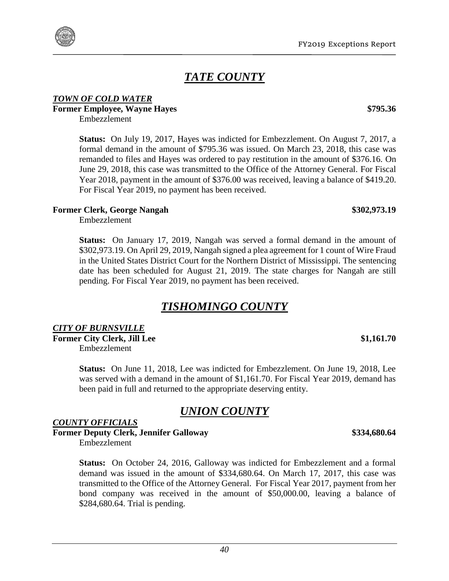## *TATE COUNTY*

### *TOWN OF COLD WATER* **Former Employee, Wayne Hayes \$795.36**

Embezzlement

**Status:** On July 19, 2017, Hayes was indicted for Embezzlement. On August 7, 2017, a formal demand in the amount of \$795.36 was issued. On March 23, 2018, this case was remanded to files and Hayes was ordered to pay restitution in the amount of \$376.16. On June 29, 2018, this case was transmitted to the Office of the Attorney General. For Fiscal Year 2018, payment in the amount of \$376.00 was received, leaving a balance of \$419.20. For Fiscal Year 2019, no payment has been received.

### **Former Clerk, George Nangah \$302,973.19**

Embezzlement

**Status:** On January 17, 2019, Nangah was served a formal demand in the amount of \$302,973.19. On April 29, 2019, Nangah signed a plea agreement for 1 count of Wire Fraud in the United States District Court for the Northern District of Mississippi. The sentencing date has been scheduled for August 21, 2019. The state charges for Nangah are still pending. For Fiscal Year 2019, no payment has been received.

## *TISHOMINGO COUNTY*

*CITY OF BURNSVILLE* **Former City Clerk, Jill Lee \$1,161.70** Embezzlement

**Status:** On June 11, 2018, Lee was indicted for Embezzlement. On June 19, 2018, Lee was served with a demand in the amount of \$1,161.70. For Fiscal Year 2019, demand has been paid in full and returned to the appropriate deserving entity.

## *UNION COUNTY*

### *COUNTY OFFICIALS* **Former Deputy Clerk, Jennifer Galloway \$334,680.64**

Embezzlement

**Status:** On October 24, 2016, Galloway was indicted for Embezzlement and a formal demand was issued in the amount of \$334,680.64. On March 17, 2017, this case was transmitted to the Office of the Attorney General. For Fiscal Year 2017, payment from her bond company was received in the amount of \$50,000.00, leaving a balance of \$284,680.64. Trial is pending.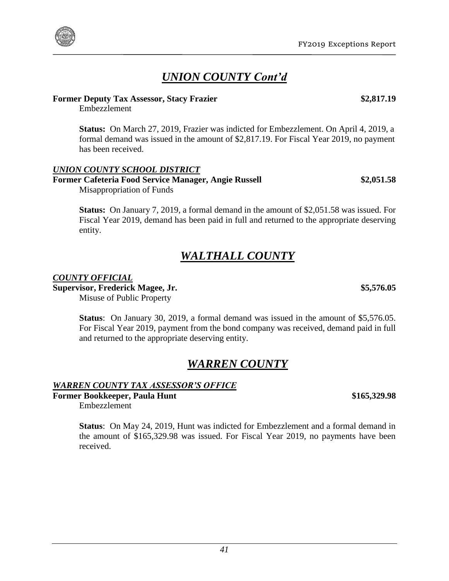## *UNION COUNTY Cont'd*

### **Former Deputy Tax Assessor, Stacy Frazier \$2,817.19**

Embezzlement

**Status:** On March 27, 2019, Frazier was indicted for Embezzlement. On April 4, 2019, a formal demand was issued in the amount of \$2,817.19. For Fiscal Year 2019, no payment has been received.

### *UNION COUNTY SCHOOL DISTRICT*

### **Former Cafeteria Food Service Manager, Angie Russell \$2,051.58** Misappropriation of Funds

**Status:** On January 7, 2019, a formal demand in the amount of \$2,051.58 was issued. For Fiscal Year 2019, demand has been paid in full and returned to the appropriate deserving entity.

## *WALTHALL COUNTY*

### *COUNTY OFFICIAL*

**Supervisor, Frederick Magee, Jr. \$5,576.05**

Misuse of Public Property

**Status**: On January 30, 2019, a formal demand was issued in the amount of \$5,576.05. For Fiscal Year 2019, payment from the bond company was received, demand paid in full and returned to the appropriate deserving entity.

## *WARREN COUNTY*

### *WARREN COUNTY TAX ASSESSOR'S OFFICE*

**Former Bookkeeper, Paula Hunt \$165,329.98**

Embezzlement

**Status**: On May 24, 2019, Hunt was indicted for Embezzlement and a formal demand in the amount of \$165,329.98 was issued. For Fiscal Year 2019, no payments have been received.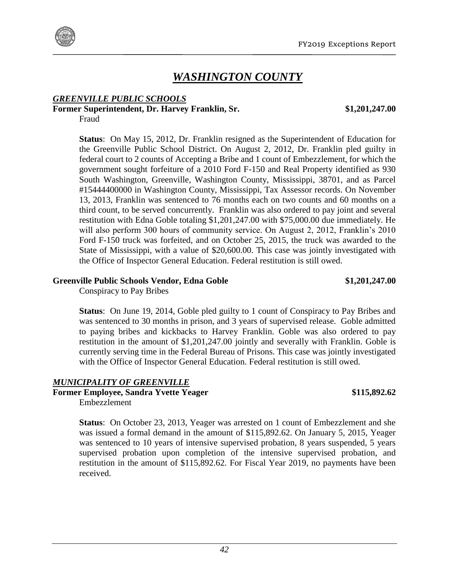

## *WASHINGTON COUNTY*

### *GREENVILLE PUBLIC SCHOOLS*

**Former Superintendent, Dr. Harvey Franklin, Sr. \$1,201,247.00**

Fraud

**Status**: On May 15, 2012, Dr. Franklin resigned as the Superintendent of Education for the Greenville Public School District. On August 2, 2012, Dr. Franklin pled guilty in federal court to 2 counts of Accepting a Bribe and 1 count of Embezzlement, for which the government sought forfeiture of a 2010 Ford F-150 and Real Property identified as 930 South Washington, Greenville, Washington County, Mississippi, 38701, and as Parcel #15444400000 in Washington County, Mississippi, Tax Assessor records. On November 13, 2013, Franklin was sentenced to 76 months each on two counts and 60 months on a third count, to be served concurrently. Franklin was also ordered to pay joint and several restitution with Edna Goble totaling \$1,201,247.00 with \$75,000.00 due immediately. He will also perform 300 hours of community service. On August 2, 2012, Franklin's 2010 Ford F-150 truck was forfeited, and on October 25, 2015, the truck was awarded to the State of Mississippi, with a value of \$20,600.00. This case was jointly investigated with the Office of Inspector General Education. Federal restitution is still owed.

### **Greenville Public Schools Vendor, Edna Goble \$1,201,247.00**

Conspiracy to Pay Bribes

**Status**: On June 19, 2014, Goble pled guilty to 1 count of Conspiracy to Pay Bribes and was sentenced to 30 months in prison, and 3 years of supervised release. Goble admitted to paying bribes and kickbacks to Harvey Franklin. Goble was also ordered to pay restitution in the amount of \$1,201,247.00 jointly and severally with Franklin. Goble is currently serving time in the Federal Bureau of Prisons. This case was jointly investigated with the Office of Inspector General Education. Federal restitution is still owed.

### *MUNICIPALITY OF GREENVILLE*

### **Former Employee, Sandra Yvette Yeager \$115,892.62**

Embezzlement

**Status**: On October 23, 2013, Yeager was arrested on 1 count of Embezzlement and she was issued a formal demand in the amount of \$115,892.62. On January 5, 2015, Yeager was sentenced to 10 years of intensive supervised probation, 8 years suspended, 5 years supervised probation upon completion of the intensive supervised probation, and restitution in the amount of \$115,892.62. For Fiscal Year 2019, no payments have been received.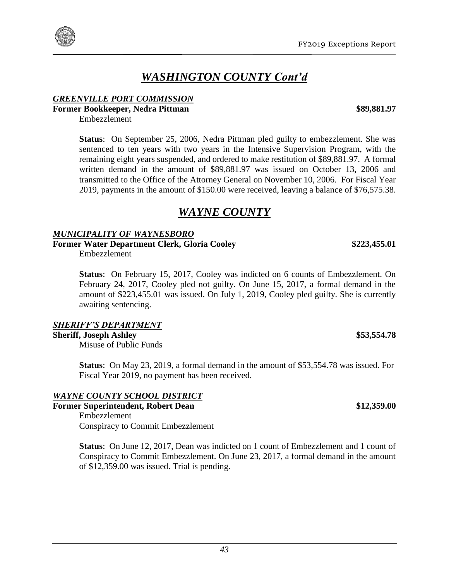## *WASHINGTON COUNTY Cont'd*

### *GREENVILLE PORT COMMISSION*

**Former Bookkeeper, Nedra Pittman \$89,881.97** Embezzlement

**Status**: On September 25, 2006, Nedra Pittman pled guilty to embezzlement. She was sentenced to ten years with two years in the Intensive Supervision Program, with the remaining eight years suspended, and ordered to make restitution of \$89,881.97. A formal written demand in the amount of \$89,881.97 was issued on October 13, 2006 and transmitted to the Office of the Attorney General on November 10, 2006. For Fiscal Year 2019, payments in the amount of \$150.00 were received, leaving a balance of \$76,575.38.

## *WAYNE COUNTY*

### *MUNICIPALITY OF WAYNESBORO*

**Former Water Department Clerk, Gloria Cooley \$223,455.01**

Embezzlement

**Status**: On February 15, 2017, Cooley was indicted on 6 counts of Embezzlement. On February 24, 2017, Cooley pled not guilty. On June 15, 2017, a formal demand in the amount of \$223,455.01 was issued. On July 1, 2019, Cooley pled guilty. She is currently awaiting sentencing.

### *SHERIFF'S DEPARTMENT*

**Sheriff, Joseph Ashley \$53,554.78** Misuse of Public Funds

**Status**: On May 23, 2019, a formal demand in the amount of \$53,554.78 was issued. For Fiscal Year 2019, no payment has been received.

### *WAYNE COUNTY SCHOOL DISTRICT*

**Former Superintendent, Robert Dean \$12,359.00** Embezzlement Conspiracy to Commit Embezzlement

**Status**: On June 12, 2017, Dean was indicted on 1 count of Embezzlement and 1 count of Conspiracy to Commit Embezzlement. On June 23, 2017, a formal demand in the amount of \$12,359.00 was issued. Trial is pending.



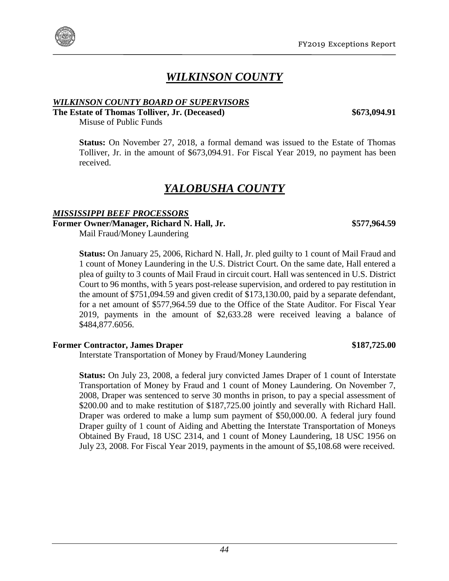*44*

## *WILKINSON COUNTY*

### *WILKINSON COUNTY BOARD OF SUPERVISORS*

The Estate of Thomas Tolliver, Jr. (Deceased)  $$673,094.91$ Misuse of Public Funds

**Status:** On November 27, 2018, a formal demand was issued to the Estate of Thomas Tolliver, Jr. in the amount of \$673,094.91. For Fiscal Year 2019, no payment has been received.

## *YALOBUSHA COUNTY*

### *MISSISSIPPI BEEF PROCESSORS*

**Former Owner/Manager, Richard N. Hall, Jr. \$577,964.59**

Mail Fraud/Money Laundering

**Status:** On January 25, 2006, Richard N. Hall, Jr. pled guilty to 1 count of Mail Fraud and 1 count of Money Laundering in the U.S. District Court. On the same date, Hall entered a plea of guilty to 3 counts of Mail Fraud in circuit court. Hall was sentenced in U.S. District Court to 96 months, with 5 years post-release supervision, and ordered to pay restitution in the amount of \$751,094.59 and given credit of \$173,130.00, paid by a separate defendant, for a net amount of \$577,964.59 due to the Office of the State Auditor. For Fiscal Year 2019, payments in the amount of \$2,633.28 were received leaving a balance of \$484,877.6056.

### **Former Contractor, James Draper \$187,725.00**

Interstate Transportation of Money by Fraud/Money Laundering

**Status:** On July 23, 2008, a federal jury convicted James Draper of 1 count of Interstate Transportation of Money by Fraud and 1 count of Money Laundering. On November 7, 2008, Draper was sentenced to serve 30 months in prison, to pay a special assessment of \$200.00 and to make restitution of \$187,725.00 jointly and severally with Richard Hall. Draper was ordered to make a lump sum payment of \$50,000.00. A federal jury found Draper guilty of 1 count of Aiding and Abetting the Interstate Transportation of Moneys Obtained By Fraud, 18 USC 2314, and 1 count of Money Laundering, 18 USC 1956 on July 23, 2008. For Fiscal Year 2019, payments in the amount of \$5,108.68 were received.

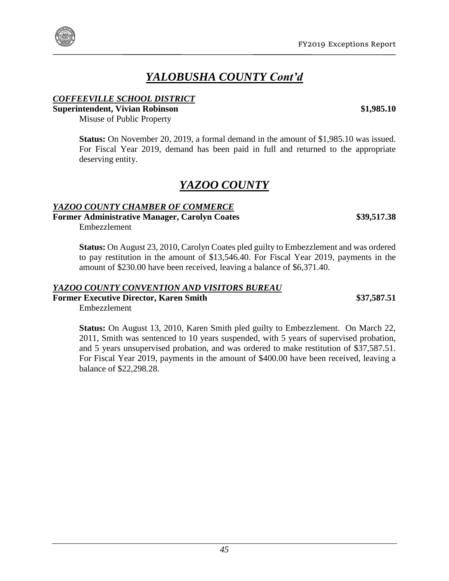## *YALOBUSHA COUNTY Cont'd*

### *COFFEEVILLE SCHOOL DISTRICT*

**Superintendent, Vivian Robinson \$1,985.10** Misuse of Public Property

**Status:** On November 20, 2019, a formal demand in the amount of \$1,985.10 was issued. For Fiscal Year 2019, demand has been paid in full and returned to the appropriate deserving entity.

## *YAZOO COUNTY*

### *YAZOO COUNTY CHAMBER OF COMMERCE*

### **Former Administrative Manager, Carolyn Coates \$39,517.38**

Embezzlement

**Status:** On August 23, 2010, Carolyn Coates pled guilty to Embezzlement and was ordered to pay restitution in the amount of \$13,546.40. For Fiscal Year 2019, payments in the amount of \$230.00 have been received, leaving a balance of \$6,371.40.

### *YAZOO COUNTY CONVENTION AND VISITORS BUREAU*

**Former Executive Director, Karen Smith \$37,587.51** 

Embezzlement

**Status:** On August 13, 2010, Karen Smith pled guilty to Embezzlement. On March 22, 2011, Smith was sentenced to 10 years suspended, with 5 years of supervised probation, and 5 years unsupervised probation, and was ordered to make restitution of \$37,587.51. For Fiscal Year 2019, payments in the amount of \$400.00 have been received, leaving a balance of \$22,298.28.

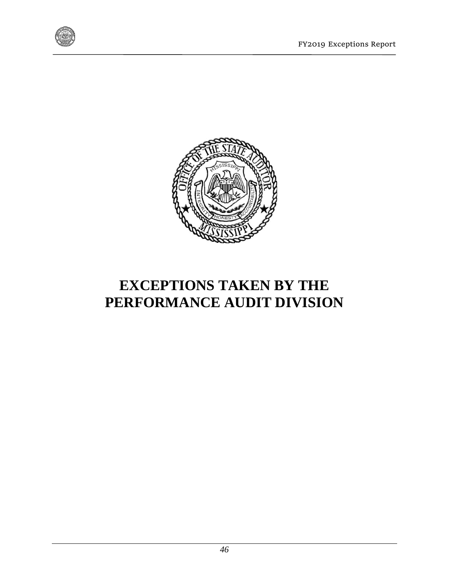



# **EXCEPTIONS TAKEN BY THE PERFORMANCE AUDIT DIVISION**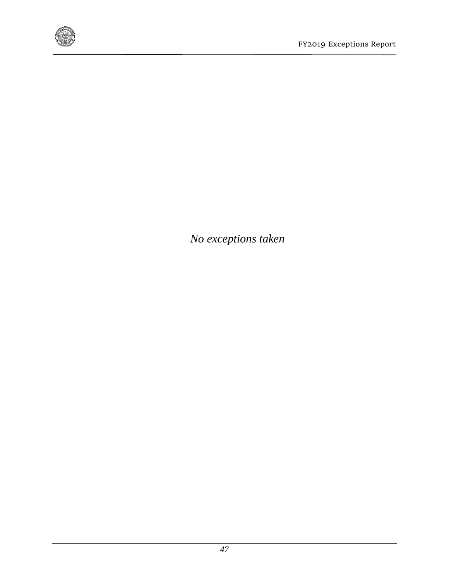

*No exceptions taken*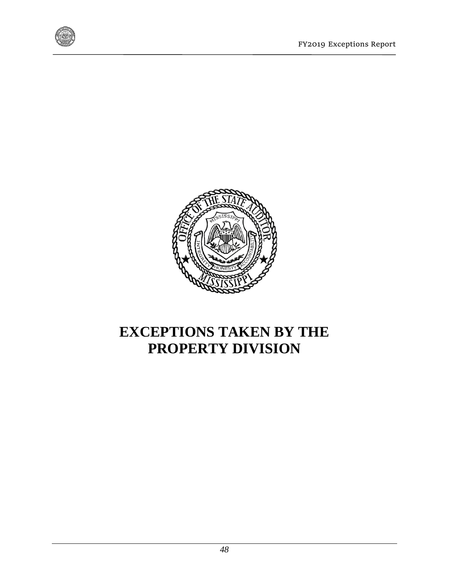





# **EXCEPTIONS TAKEN BY THE PROPERTY DIVISION**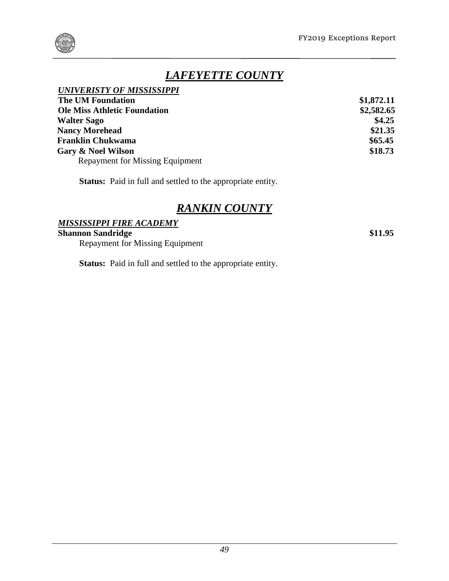

## *LAFEYETTE COUNTY*

### *UNIVERISTY OF MISSISSIPPI*

| <b>The UM Foundation</b>               | \$1,872.11 |
|----------------------------------------|------------|
| <b>Ole Miss Athletic Foundation</b>    | \$2,582.65 |
| <b>Walter Sago</b>                     | \$4.25     |
| <b>Nancy Morehead</b>                  | \$21.35    |
| <b>Franklin Chukwama</b>               | \$65.45    |
| Gary & Noel Wilson                     | \$18.73    |
| <b>Repayment for Missing Equipment</b> |            |

Status: Paid in full and settled to the appropriate entity.

## *RANKIN COUNTY*

### *MISSISSIPPI FIRE ACADEMY*

### **Shannon Sandridge \$11.95**

Repayment for Missing Equipment

**Status:** Paid in full and settled to the appropriate entity.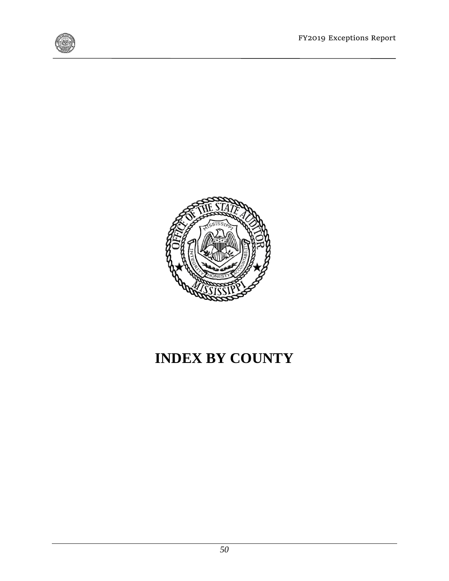





# **INDEX BY COUNTY**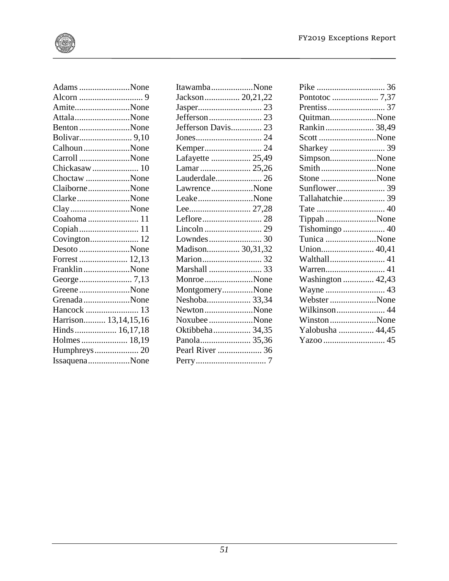

| Adams None           |  |
|----------------------|--|
|                      |  |
| AmiteNone            |  |
| AttalaNone           |  |
| Benton None          |  |
|                      |  |
| CalhounNone          |  |
| Carroll None         |  |
| Chickasaw 10         |  |
| Choctaw None         |  |
| ClaiborneNone        |  |
| ClarkeNone           |  |
| ClayNone             |  |
| Coahoma  11          |  |
|                      |  |
| Covington 12         |  |
| Desoto None          |  |
|                      |  |
| Franklin None        |  |
|                      |  |
| GreeneNone           |  |
| Grenada None         |  |
|                      |  |
| Harrison 13,14,15,16 |  |
| Hinds 16,17,18       |  |
| Holmes  18,19        |  |
|                      |  |
| IssaquenaNone        |  |

| ItawambaNone       |  |
|--------------------|--|
| Jackson 20,21,22   |  |
|                    |  |
|                    |  |
| Jefferson Davis 23 |  |
|                    |  |
|                    |  |
| Lafayette  25,49   |  |
|                    |  |
| Lauderdale 26      |  |
| LawrenceNone       |  |
| LeakeNone          |  |
|                    |  |
|                    |  |
|                    |  |
|                    |  |
| Madison 30,31,32   |  |
|                    |  |
| Marshall  33       |  |
| MonroeNone         |  |
| MontgomeryNone     |  |
|                    |  |
| Newton None        |  |
| Noxubee None       |  |
| Oktibbeha 34,35    |  |
|                    |  |
| Pearl River  36    |  |
|                    |  |

| QuitmanNone       |  |
|-------------------|--|
| Rankin  38,49     |  |
| Scott None        |  |
|                   |  |
| SimpsonNone       |  |
| SmithNone         |  |
| Stone None        |  |
|                   |  |
| Tallahatchie 39   |  |
|                   |  |
| Tippah None       |  |
| Tishomingo  40    |  |
| Tunica None       |  |
| Union 40,41       |  |
| Walthall 41       |  |
|                   |  |
| Washington  42,43 |  |
|                   |  |
| Webster None      |  |
|                   |  |
| WinstonNone       |  |
| Yalobusha  44,45  |  |
|                   |  |
|                   |  |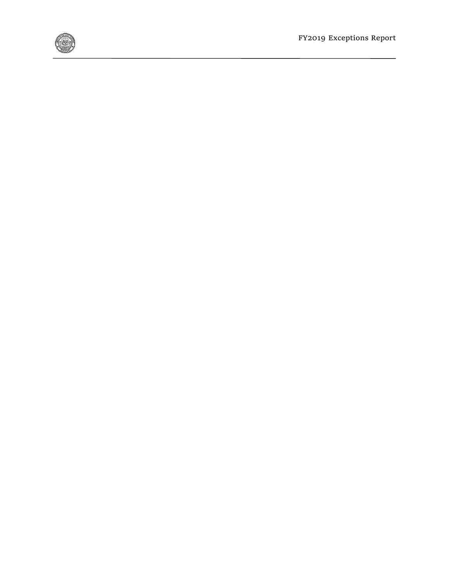